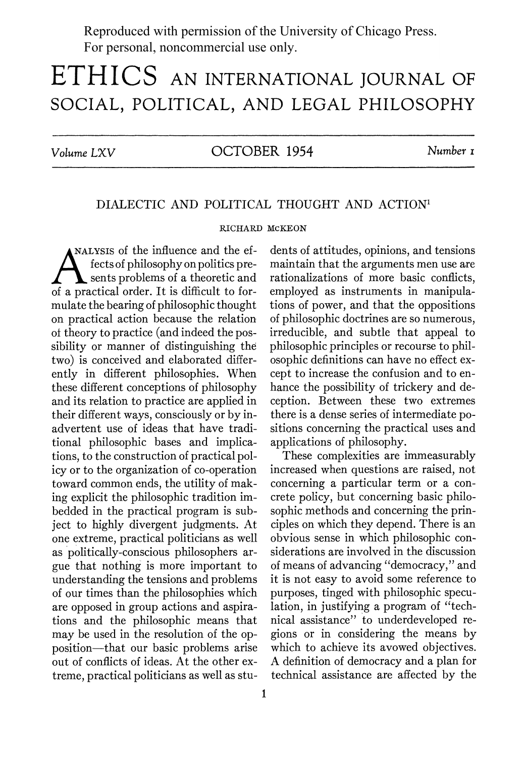Reproduced with permission of the University of Chicago Press. For personal, noncommercial use only.

# **ETHICS AN INTERNATIONAL JOURNAL OF SOCIAL, POLITICAL, AND LEGAL PHILOSOPHY**

**Volume LXV OCTOBER 1954 Number <sup>i</sup>**

## **DIALECTIC AND POLITICAL THOUGHT AND ACTION'**

### **RICHARD McKEON**

**ANALYSIS of the influence and the effects of philosophy on politics presents problems of a theoretic and of a practical order. It is difficult to formulate the bearing of philosophic thought on practical action because the relation of theory to practice (and indeed the possibility or manner of distinguishing the two) is conceived and elaborated differently in different philosophies. When these different conceptions of philosophy and its relation to practice are applied in their different ways, consciously or by inadvertent use of ideas that have traditional philosophic bases and implications, to the construction of practical policy or to the organization of co-operation toward common ends, the utility of making explicit the philosophic tradition imbedded in the practical program is subject to highly divergent judgments. At one extreme, practical politicians as well as politically-conscious philosophers argue that nothing is more important to understanding the tensions and problems of our times than the philosophies which are opposed in group actions and aspirations and the philosophic means that may be used in the resolution of the opposition-that our basic problems arise out of conflicts of ideas. At the other extreme, practical politicians as well as stu-** **dents of attitudes, opinions, and tensions maintain that the arguments men use are rationalizations of more basic conflicts, employed as instruments in manipulations of power, and that the oppositions of philosophic doctrines are so numerous, irreducible, and subtle that appeal to philosophic principles or recourse to philosophic definitions can have no effect except to increase the confusion and to enhance the possibility of trickery and deception. Between these two extremes there is a dense series of intermediate positions concerning the practical uses and applications of philosophy.** 

**These complexities are immeasurably increased when questions are raised, not concerning a particular term or a concrete policy, but concerning basic philosophic methods and concerning the principles on which they depend. There is an obvious sense in which philosophic considerations are involved in the discussion of means of advancing "democracy," and it is not easy to avoid some reference to purposes, tinged with philosophic speculation, in justifying a program of "technical assistance" to underdeveloped regions or in considering the means by which to achieve its avowed objectives. A definition of democracy and a plan for technical assistance are affected by the**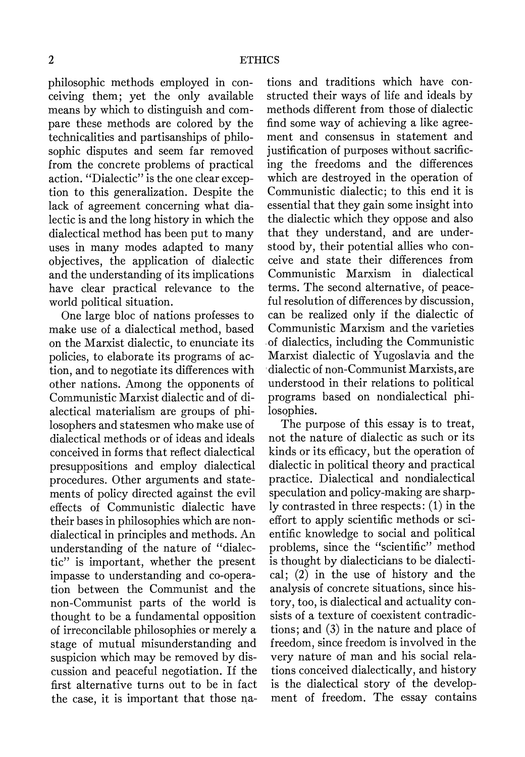**philosophic methods employed in conceiving them; yet the only available means by which to distinguish and compare these methods are colored by the technicalities and partisanships of philosophic disputes and seem far removed from the concrete problems of practical action. "Dialectic" is the one clear exception to this generalization. Despite the lack of agreement concerning what dialectic is and the long history in which the dialectical method has been put to many uses in many modes adapted to many objectives, the application of dialectic and the understanding of its implications have clear practical relevance to the world political situation.** 

**One large bloc of nations professes to make use of a dialectical method, based on the Marxist dialectic, to enunciate its policies, to elaborate its programs of action, and to negotiate its differences with other nations. Among the opponents of Communistic Marxist dialectic and of dialectical materialism are groups of philosophers and statesmen who make use of dialectical methods or of ideas and ideals conceived in forms that reflect dialectical presuppositions and employ dialectical procedures. Other arguments and statements of policy directed against the evil effects of Communistic dialectic have their bases in philosophies which are nondialectical in principles and methods. An understanding of the nature of "dialectic" is important, whether the present impasse to understanding and co-operation between the Communist and the non-Communist parts of the world is thought to be a fundamental opposition of irreconcilable philosophies or merely a stage of mutual misunderstanding and suspicion which may be removed by discussion and peaceful negotiation. If the first alternative turns out to be in fact the case, it is important that those na-** **tions and traditions which have constructed their ways of life and ideals by methods different from those of dialectic find some way of achieving a like agreement and consensus in statement and justification of purposes without sacrificing the freedoms and the differences which are destroyed in the operation of Communistic dialectic; to this end it is essential that they gain some insight into the dialectic which they oppose and also that they understand, and are understood by, their potential allies who conceive and state their differences from Communistic Marxism in dialectical terms. The second alternative, of peaceful resolution of differences by discussion, can be realized only if the dialectic of Communistic Marxism and the varieties of dialectics, including the Communistic Marxist dialectic of Yugoslavia and the dialectic of non-Communist Marxists, are understood in their relations to political programs based on nondialectical philosophies.** 

**The purpose of this essay is to treat, not the nature of dialectic as such or its kinds or its efficacy, but the operation of dialectic in political theory and practical practice. Dialectical and nondialectical speculation and policy-making are sharply contrasted in three respects: (1) in the effort to apply scientific methods or scientific knowledge to social and political problems, since the "scientific" method is thought by dialecticians to be dialectical; (2) in the use of history and the analysis of concrete situations, since history, too, is dialectical and actuality consists of a texture of coexistent contradictions; and (3) in the nature and place of freedom, since freedom is involved in the very nature of man and his social relations conceived dialectically, and history is the dialectical story of the development of freedom. The essay contains**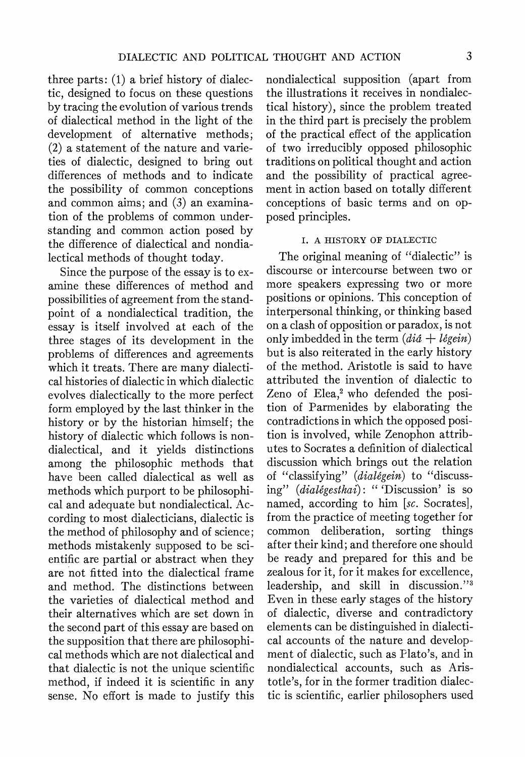**three parts: (1) a brief history of dialectic, designed to focus on these questions by tracing the evolution of various trends of dialectical method in the light of the development of alternative methods; (2) a statement of the nature and varieties of dialectic, designed to bring out differences of methods and to indicate the possibility of common conceptions and common aims; and (3) an examination of the problems of common understanding and common action posed by the difference of dialectical and nondialectical methods of thought today.** 

**Since the purpose of the essay is to examine these differences of method and possibilities of agreement from the standpoint of a nondialectical tradition, the essay is itself involved at each of the three stages of its development in the problems of differences and agreements which it treats. There are many dialectical histories of dialectic in which dialectic evolves dialectically to the more perfect form employed by the last thinker in the history or by the historian himself; the history of dialectic which follows is nondialectical, and it yields distinctions among the philosophic methods that have been called dialectical as well as methods which purport to be philosophical and adequate but nondialectical. According to most dialecticians, dialectic is the method of philosophy and of science; methods mistakenly supposed to be scientific are partial or abstract when they are not fitted into the dialectical frame and method. The distinctions between the varieties of dialectical method and their alternatives which are set down in the second part of this essay are based on the supposition that there are philosophical methods which are not dialectical and that dialectic is not the unique scientific method, if indeed it is scientific in any sense, No effort is made to justify this**  **nondialectical supposition (apart from the illustrations it receives in nondialectical history), since the problem treated in the third part is precisely the problem of the practical effect of the application of two irreducibly opposed philosophic traditions on political thought and action and the possibility of practical agreement in action based on totally different conceptions of basic terms and on opposed principles.** 

#### **I. A HISTORY OF DIALECTIC**

**The original meaning of "dialectic" is discourse or intercourse between two or more speakers expressing two or more positions or opinions. This conception of interpersonal thinking, or thinking based on a clash of opposition or paradox, is not**  only imbedded in the term  $(di**i** + légein)$ **but is also reiterated in the early history of the method. Aristotle is said to have attributed the invention of dialectic to**  Zeno of Elea,<sup>2</sup> who defended the posi**tion of Parmenides by elaborating the contradictions in which the opposed position is involved, while Zenophon attributes to Socrates a definition of dialectical discussion which brings out the relation**  of "classifying" (dialegein) to "discuss**ing" (dialegesthai): " 'Discussion' is so named, according to him [sc. Socrates], from the practice of meeting together for common deliberation, sorting things after their kind; and therefore one should be ready and prepared for this and be zealous for it, for it makes for excellence, leadership, and skill in discussion."8 Even in these early stages of the history of dialectic, diverse and contradictory elements can be distinguished in dialectical accounts of the nature and development of dialectic, such as Plato's, and in nondialectical accounts, such as Aristotle's, for in the former tradition dialectic is scientific, earlier philosophers used**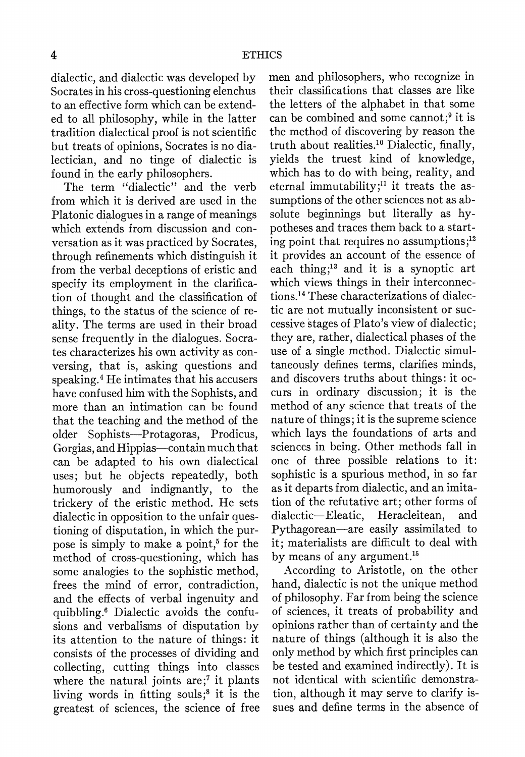**dialectic, and dialectic was developed by Socrates in his cross-questioning elenchus to an effective form which can be extended to all philosophy, while in the latter tradition dialectical proof is not scientific but treats of opinions, Socrates is no dialectician, and no tinge of dialectic is found in the early philosophers.** 

**The term "dialectic" and the verb from which it is derived are used in the Platonic dialogues in a range of meanings which extends from discussion and conversation as it was practiced by Socrates, through refinements which distinguish it from the verbal deceptions of eristic and specify its employment in the clarification of thought and the classification of things, to the status of the science of reality. The terms are used in their broad sense frequently in the dialogues. Socrates characterizes his own activity as conversing, that is, asking questions and speaking.4 He intimates that his accusers have confused him with the Sophists, and more than an intimation can be found that the teaching and the method of the older Sophists-Protagoras, Prodicus, Gorgias, and Hippias-contain much that can be adapted to his own dialectical uses; but he objects repeatedly, both humorously and indignantly, to the trickery of the eristic method. He sets dialectic in opposition to the unfair questioning of disputation, in which the pur**pose is simply to make a point,<sup>5</sup> for the **method of cross-questioning, which has some analogies to the sophistic method, frees the mind of error, contradiction, and the effects of verbal ingenuity and quibbling.6 Dialectic avoids the confusions and verbalisms of disputation by its attention to the nature of things: it consists of the processes of dividing and collecting, cutting things into classes where the natural joints are;7 it plants living words in fitting souls;8 it is the greatest of sciences, the science of free**  **men and philosophers, who recognize in their classifications that classes are like the letters of the alphabet in that some can be combined and some cannot;9 it is the method of discovering by reason the truth about realities.'0 Dialectic, finally, yields the truest kind of knowledge, which has to do with being, reality, and**  eternal immutability;<sup>11</sup> it treats the as**sumptions of the other sciences not as absolute beginnings but literally as hypotheses and traces them back to a starting point that requires no assumptions;"2 it provides an account of the essence of each thing;"3 and it is a synoptic art which views things in their interconnections.14 These characterizations of dialectic are not mutually inconsistent or successive stages of Plato's view of dialectic; they are, rather, dialectical phases of the use of a single method. Dialectic simultaneously defines terms, clarifies minds, and discovers truths about things: it occurs in ordinary discussion; it is the method of any science that treats of the nature of things; it is the supreme science which lays the foundations of arts and sciences in being. Other methods fall in one of three possible relations to it: sophistic is a spurious method, in so far as it departs from dialectic, and an imitation of the refutative art; other forms of dialectic-Eleatic, Heracleitean, and Pythagorean-are easily assimilated to it; materialists are difficult to deal with by means of any argument.'5** 

**According to Aristotle, on the other hand, dialectic is not the unique method of philosophy. Far from being the science of sciences, it treats of probability and opinions rather than of certainty and the nature of things (although it is also the only method by which first principles can be tested and examined indirectly). It is not identical with scientific demonstration, although it may serve to clarify issues and define terms in the absence of**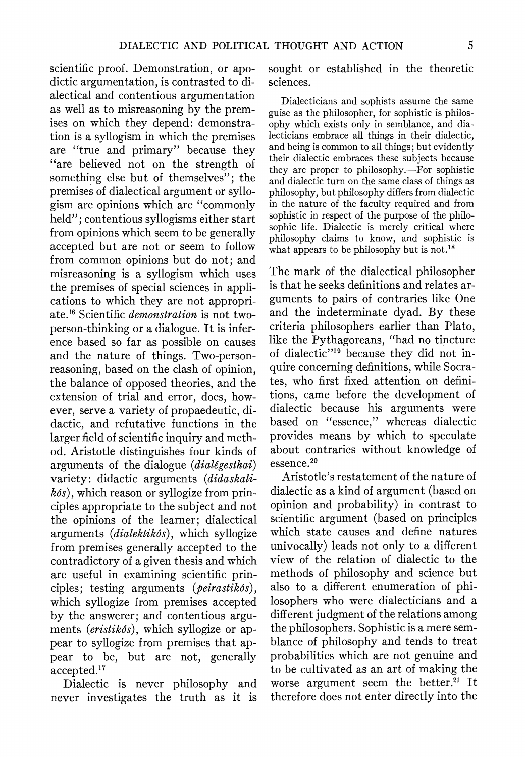**scientific proof. Demonstration, or apodictic argumentation, is contrasted to dialectical and contentious argumentation as well as to misreasoning by the premises on which they depend: demonstration is a syllogism in which the premises are "true and primary" because they "are believed not on the strength of something else but of themselves"; the premises of dialectical argument or syllogism are opinions which are "commonly held"; contentious syllogisms either start from opinions which seem to be generally accepted but are not or seem to follow from common opinions but do not; and misreasoning is a syllogism which uses the premises of special sciences in applications to which they are not appropriate."6 Scientific demonstration is not twoperson-thinking or a dialogue. It is inference based so far as possible on causes and the nature of things. Two-personreasoning, based on the clash of opinion, the balance of opposed theories, and the extension of trial and error, does, however, serve a variety of propaedeutic, didactic, and refutative functions in the larger field of scientific inquiry and method. Aristotle distinguishes four kinds of**  arguments of the dialogue (dialégesthai) **variety: didactic arguments (didaskalikos), which reason or syllogize from principles appropriate to the subject and not the opinions of the learner; dialectical arguments (dialektikos), which syllogize from premises generally accepted to the contradictory of a given thesis and which are useful in examining scientific prin**ciples; testing arguments (*peirastikos*), **which syllogize from premises accepted by the answerer; and contentious argu**ments (eristikós), which syllogize or ap**pear to syllogize from premises that appear to be, but are not, generally accepted."7** 

**Dialectic is never philosophy and never investigates the truth as it is**  **sought or established in the theoretic sciences.** 

**Dialecticians and sophists assume the same guise as the philosopher, for sophistic is philosophy which exists only in semblance, and dialecticians embrace all things in their dialectic, and being is common to all things; but evidently their dialectic embraces these subjects because they are proper to philosophy.-For sophistic and dialectic turn on the same class of things as philosophy, but philosophy differs from dialectic in the nature of the faculty required and from sophistic in respect of the purpose of the philosophic life. Dialectic is merely critical where philosophy claims to know, and sophistic is**  what appears to be philosophy but is not.<sup>18</sup>

**The mark of the dialectical philosopher is that he seeks definitions and relates arguments to pairs of contraries like One and the indeterminate dyad. By these criteria philosophers earlier than Plato, like the Pythagoreans, "had no tincture**  of dialectic<sup>''19</sup> because they did not in**quire concerning definitions, while Socrates, who first fixed attention on definitions, came before the development of dialectic because his arguments were based on "essence,' whereas dialectic provides means by which to speculate about contraries without knowledge of essence.20** 

**Aristotle's restatement of the nature of dialectic as a kind of argument (based on opinion and probability) in contrast to scientific argument (based on principles which state causes and define natures univocally) leads not only to a different view of the relation of dialectic to the methods of philosophy and science but also to a different enumeration of philosophers who were dialecticians and a different judgment of the relations among the philosophers. Sophistic is a mere semblance of philosophy and tends to treat probabilities which are not genuine and to be cultivated as an art of making the worse argument seem the better.2' It therefore does not enter directly into the**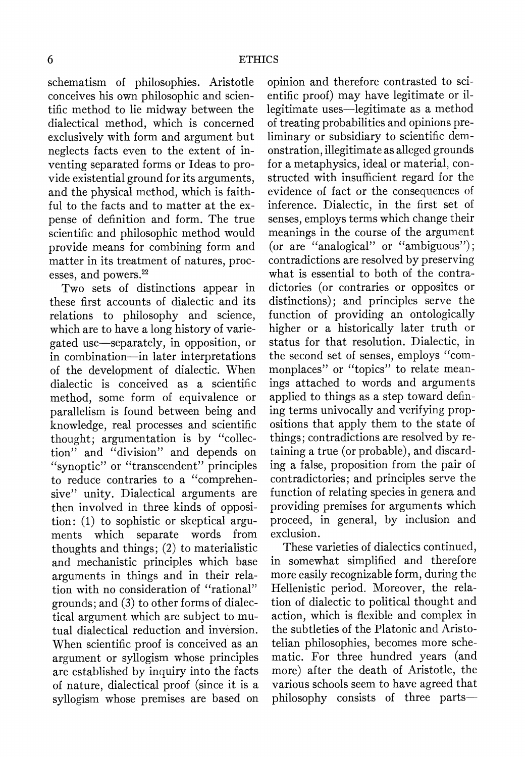**schematism of philosophies. Aristotle conceives his own philosophic and scientific method to lie midway between the dialectical method, which is concerned exclusively with form and argument but neglects facts even to the extent of inventing separated forms or Ideas to provide existential ground for its arguments, and the physical method, which is faithful to the facts and to matter at the expense of definition and form. The true scientific and philosophic method would provide means for combining form and matter in its treatment of natures, processes, and powers.22** 

**Two sets of distinctions appear in these first accounts of dialectic and its relations to philosophy and science, which are to have a long history of variegated use separately, in opposition, or in combination-in later interpretations of the development of dialectic. When dialectic is conceived as a scientific method, some form of equivalence or parallelism is found between being and knowledge, real processes and scientific thought; argumentation is by "collection" and "division" and depends on ''synoptic" or "transcendent" principles to reduce contraries to a "comprehensive" unity. Dialectical arguments are then involved in three kinds of opposition: (1) to sophistic or skeptical arguments which separate words from thoughts and things; (2) to materialistic and mechanistic principles which base arguments in things and in their relation with no consideration of "rational" grounds; and (3) to other forms of dialectical argument which are subject to mutual dialectical reduction and inversion. When scientific proof is conceived as an argument or syllogism whose principles are established by inquiry into the facts of nature, dialectical proof (since it is a syllogism whose premises are based on**  **opinion and therefore contrasted to scientific proof) may have legitimate or illegitimate uses-legitimate as a method of treating probabilities and opinions preliminary or subsidiary to scientific demonstration, illegitimate as alleged grounds for a metaphysics, ideal or material, constructed with insufficient regard for the evidence of fact or the consequences of inference. Dialectic, in the first set of senses, employs terms which change their meanings in the course of the argument (or are "analogical" or "ambiguous"); contradictions are resolved by preserving what is essential to both of the contradictories (or contraries or opposites or distinctions); and principles serve the function of providing an ontologically higher or a historically later truth or status for that resolution. Dialectic, in the second set of senses, employs "commonplaces" or "topics" to relate meanings attached to words and arguments applied to things as a step toward defining terms univocally and verifying propositions that apply them to the state of things; contradictions are resolved by retaining a true (or probable), and discarding a false, proposition from the pair of contradictories; and principles serve the function of relating species in genera and providing premises for arguments which proceed, in general, by inclusion and exclusion.** 

**These varieties of dialectics continued, in somewhat simplified and therefore more easily recognizable form, during the Hellenistic period. Moreover, the relation of dialectic to political thought and action, which is flexible and complex in the subtleties of the Platonic and Aristotelian philosophies, becomes more schematic. For three hundred years (and more) after the death of Aristotle, the various schools seem to have agreed that philosophy consists of three parts-**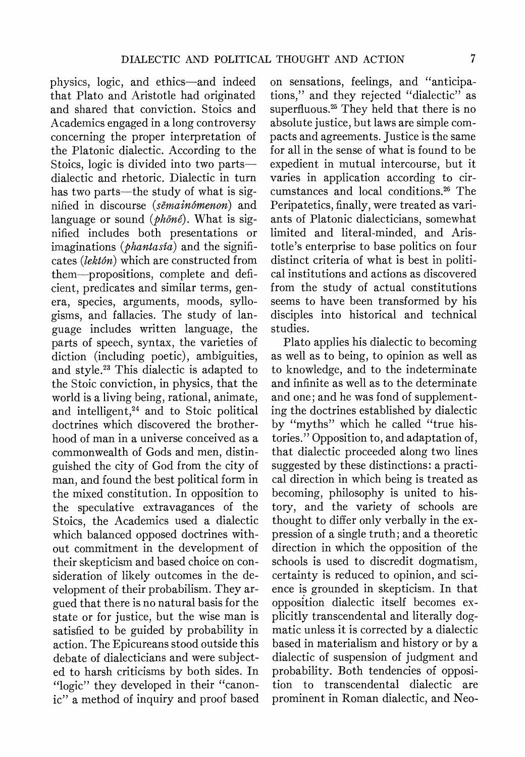**physics, logic, and ethics-and indeed that Plato and Aristotle had originated and shared that conviction. Stoics and Academics engaged in a long controversy concerning the proper interpretation of the Platonic dialectic. According to the**  Stoics, logic is divided into two parts **dialectic and rhetoric. Dialectic in turn**  has two parts-the study of what is sig**nified in discourse (simain6menon) and**  language or sound (*phone*). What is sig**nified includes both presentations or**  imaginations *(phantasia)* and the significates *(lektón)* which are constructed from **them-propositions, complete and deficient, predicates and similar terms, genera, species, arguments, moods, syllogisms, and fallacies. The study of language includes written language, the parts of speech, syntax, the varieties of diction (including poetic), ambiguities, and style.2" This dialectic is adapted to the Stoic conviction, in physics, that the world is a living being, rational, animate, and intelligent,24 and to Stoic political doctrines which discovered the brotherhood of man in a universe conceived as a commonwealth of Gods and men, distinguished the city of God from the city of man, and found the best political form in the mixed constitution. In opposition to the speculative extravagances of the Stoics, the Academics used a dialectic which balanced opposed doctrines without commitment in the development of their skepticism and based choice on consideration of likely outcomes in the development of their probabilism. They argued that there is no natural basis for the state or for justice, but the wise man is satisfied to be guided by probability in action. The Epicureans stood outside this debate of dialecticians and were subjected to harsh criticisms by both sides. In "logic" they developed in their "canonic" a method of inquiry and proof based**  **on sensations, feelings, and "anticipations," and they rejected "dialectic" as superfluous.25 They held that there is no absolute justice, but laws are simple compacts and agreements. Justice is the same for all in the sense of what is found to be expedient in mutual intercourse, but it varies in application according to circumstances and local conditions.26 The Peripatetics, finally, were treated as variants of Platonic dialecticians, somewhat limited and literal-minded, and Aristotle's enterprise to base politics on four distinct criteria of what is best in political institutions and actions as discovered from the study of actual constitutions seems to have been transformed by his disciples into historical and technical studies.** 

**Plato applies his dialectic to becoming as well as to being, to opinion as well as to knowledge, and to the indeterminate and infinite as well as to the determinate and one; and he was fond of supplementing the doctrines established by dialectic by "myths" which he called "true histories." Opposition to, and adaptation of, that dialectic proceeded along two lines suggested by these distinctions: a practical direction in which being is treated as becoming, philosophy is united to history, and the variety of schools are thought to differ only verbally in the expression of a single truth; and a theoretic direction in which the opposition of the schools is used to discredit dogmatism, certainty is reduced to opinion, and science is grounded in skepticism. In that opposition dialectic itself becomes explicitly transcendental and literally dogmatic unless it is corrected by a dialectic based in materialism and history or by a dialectic of suspension of judgment and probability. Both tendencies of opposition to transcendental dialectic are prominent in Roman dialectic, and Neo-**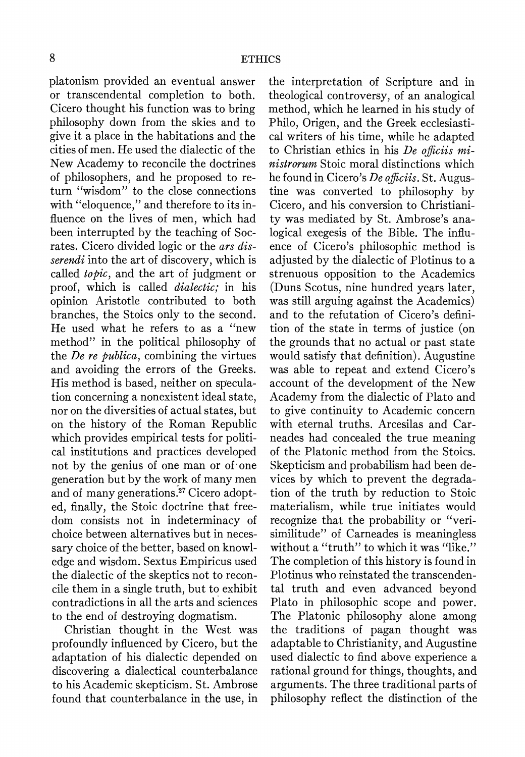**platonism provided an eventual answer or transcendental completion to both. Cicero thought his function was to bring philosophy down from the skies and to give it a place in the habitations and the cities of men. He used the dialectic of the New Academy to reconcile the doctrines of philosophers, and he proposed to return "wisdom" to the close connections with "eloquence," and therefore to its influence on the lives of men, which had been interrupted by the teaching of Socrates. Cicero divided logic or the ars disserendi into the art of discovery, which is called topic, and the art of judgment or proof, which is called dialectic; in his opinion Aristotle contributed to both branches, the Stoics only to the second. He used what he refers to as a "new method" in the political philosophy of**  the *De re publica*, combining the virtues **and avoiding the errors of the Greeks. His method is based, neither on speculation concerning a nonexistent ideal state, nor on the diversities of actual states, but on the history of the Roman Republic which provides empirical tests for political institutions and practices developed not by the genius of one man or of' one generation but by the work of many men**  and of many generations.<sup>27</sup> Cicero adopt**ed, finally, the Stoic doctrine that freedom consists not in indeterminacy of choice between alternatives but in necessary choice of the better, based on knowledge and wisdom. Sextus Empiricus used the dialectic of the skeptics not to reconcile them in a single truth, but to exhibit contradictions in all the arts and sciences to the end of destroying dogmatism.** 

**Christian thought in the West was profoundly influenced by Cicero, but the adaptation of his dialectic depended on discovering a dialectical counterbalance to his Academic skepticism. St. Ambrose found that counterbalance in the use, in**  **the interpretation of Scripture and in theological controversy, of an analogical method, which he learned in his study of Philo, Origen, and the Greek ecclesiastical writers of his time, while he adapted**  to Christian ethics in his *De officiis mi***nistrorum Stoic moral distinctions which**  he found in Cicero's *De officiis*. St. Augus**tine was converted to philosophy by Cicero, and his conversion to Christianity was mediated by St. Ambrose's analogical exegesis of the Bible. The influence of Cicero's philosophic method is adjusted by the dialectic of Plotinus to a strenuous opposition to the Academics (Duns Scotus, nine hundred years later, was still arguing against the Academics) and to the refutation of Cicero's definition of the state in terms of justice (on the grounds that no actual or past state would satisfy that definition). Augustine was able to repeat and extend Cicero's account of the development of the New Academy from the dialectic of Plato and to give continuity to Academic concern with eternal truths. Arcesilas and Carneades had concealed the true meaning of the Platonic method from the Stoics. Skepticism and probabilism had been devices by which to prevent the degradation of the truth by reduction to Stoic materialism, while true initiates would recognize that the probability or "verisimilitude" of Carneades is meaningless without a "truth" to which it was "like." The completion of this history is found in Plotinus who reinstated the transcendental truth and even advanced beyond Plato in philosophic scope and power. The Platonic philosophy alone among the traditions of pagan thought was adaptable to Christianity, and Augustine used dialectic to find above experience a rational ground for things, thoughts, and arguments. The three traditional parts of philosophy reflect the distinction of the**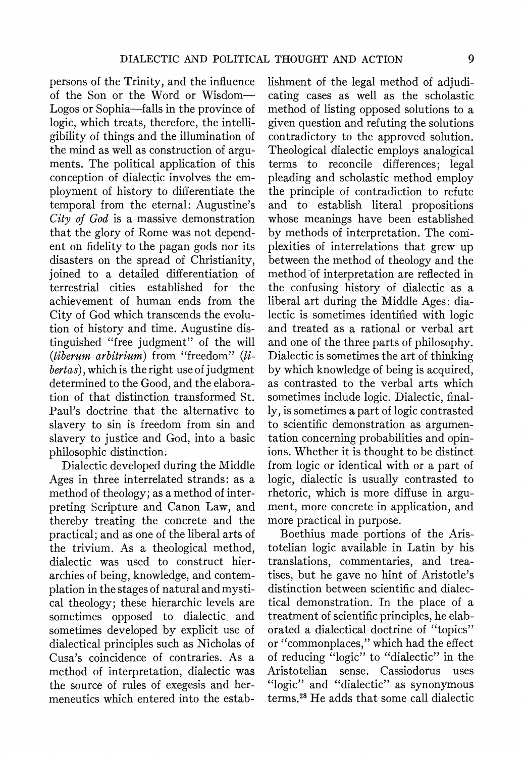**persons of the Trinity, and the influence of the Son or the Word or Wisdom-Logos or Sophia-falls in the province of logic, which treats, therefore, the intelligibility of things and the illumination of the mind as well as construction of arguments. The political application of this conception of dialectic involves the employment of history to differentiate the temporal from the eternal: Augustine's City of God is a massive demonstration that the glory of Rome was not dependent on fidelity to the pagan gods nor its disasters on the spread of Christianity, joined to a detailed differentiation of terrestrial cities established for the achievement of human ends from the City of God which transcends the evolution of history and time. Augustine distinguished "free judgment" of the will (liberum arbitrium) from "freedom" (iibertas), which is the right use of judgment determined to the Good, and the elaboration of that distinction transformed St. Paul's doctrine that the alternative to slavery to sin is freedom from sin and slavery to justice and God, into a basic philosophic distinction.** 

**Dialectic developed during the Middle Ages in three interrelated strands: as a method of theology; as a method of interpreting Scripture and Canon Law, and thereby treating the concrete and the practical; and as one of the liberal arts of the trivium. As a theological method, dialectic was used to construct hierarchies of being, knowledge, and contemplation in the stages of natural and mystical theology; these hierarchic levels are sometimes opposed to dialectic and sometimes developed by explicit use of dialectical principles such as Nicholas of Cusa's coincidence of contraries. As a method of interpretation, dialectic was the source of rules of exegesis and hermeneutics which entered into the estab-** **lishment of the legal method of adjudicating cases as well as the scholastic method of listing opposed solutions to a given question and refuting the solutions contradictory to the approved solution. Theological dialectic employs analogical terms to reconcile differences; legal pleading and scholastic method employ the principle of contradiction to refute and to establish literal propositions whose meanings have been established by methods of interpretation. The complexities of interrelations that grew up between the method of theology and the method-of interpretation are reflected in the confusing history of dialectic as a liberal art during the Middle Ages: dialectic is sometimes identified with logic and treated as a rational or verbal art and one of the three parts of philosophy. Dialectic is sometimes the art of thinking by which knowledge of being is acquired, as contrasted to the verbal arts which sometimes include logic. Dialectic, finally, is sometimes a part of logic contrasted to scientific demonstration as argumentation concerning probabilities and opinions. Whether it is thought to be distinct from logic or identical with or a part of logic, dialectic is usually contrasted to rhetoric, which is more diffuse in argument, more concrete in application, and more practical in purpose.** 

**Boethius made portions of the Aristotelian logic available in Latin by his translations, commentaries, and treatises, but he gave no hint of Aristotle's distinction between scientific and dialectical demonstration. In the place of a treatment of scientific principles, he elaborated a dialectical doctrine of "topics" or "commonplaces," which had the effect of reducing "logic" to "dialectic" in the Aristotelian sense. Cassiodorus uses "logic" and "dialectic" as synonymous terms.28 He adds that some call dialectic**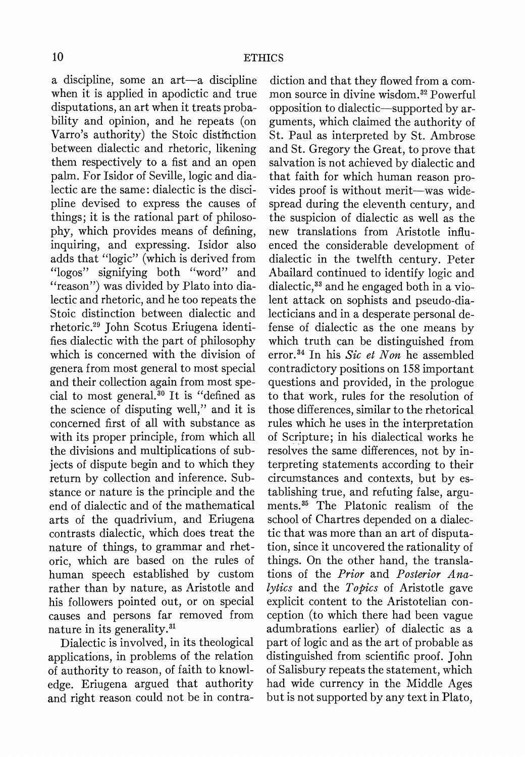**a discipline, some an art-a discipline when it is applied in apodictic and true disputations, an art when it treats probability and opinion, and he repeats (on Varro's authority) the Stoic distinction between dialectic and rhetoric, likening them respectively to a fist and an open palm. For Isidor of Seville, logic and dialectic are the same: dialectic is the discipline devised to express the causes of things; it is the rational part of philosophy, which provides means of defining, inquiring, and expressing. Isidor also adds that "logic" (which is derived from "logos" signifying both "word" and "reason") was divided by Plato into dialectic and rhetoric, and he too repeats the Stoic distinction between dialectic and rhetoric.29 John Scotus Eriugena identifies dialectic with the part of philosophy which is concerned with the division of genera from most general to most special and their collection again from most special to most general.30 It is "defined as the science of disputing well," and it is concerned first of all with substance as with its proper principle, from which all the divisions and multiplications of subjects of dispute begin and to which they return by collection and inference. Substance or nature is the principle and the end of dialectic and of the mathematical arts of the quadrivium, and Eriugena contrasts dialectic, which does treat the nature of things, to grammar and rhetoric, which are based on the rules of human speech established by custom rather than by nature, as Aristotle and his followers pointed out, or on special causes and persons far removed from nature in its generality.3"** 

**Dialectic is involved, in its theological applications, in problems of the relation of authority to reason, of faith to knowledge. Eriugena argued that authority and right reason could not be in contra-**

**diction and that they flowed from a common source in divine wisdom.2 Powerful opposition to dialectic-supported by arguments, which claimed the authority of St. Paul as interpreted by St. Ambrose and St. Gregory the Great, to prove that salvation is not achieved by dialectic and that faith for which human reason provides proof is without merit-was widespread during the eleventh century, and the suspicion of dialectic as well as the new translations from Aristotle influenced the considerable development of dialectic in the twelfth century. Peter Abailard continued to identify logic and dialectic,33 and he engaged both in a violent attack on sophists and pseudo-dialecticians and in a desperate personal defense of dialectic as the one means by which truth can be distinguished from error.34 In his Sic et Non he assembled contradictory positions on 158 important questions and provided, in the prologue to that work, rules for the resolution of those differences, similar to the rhetorical rules which he uses in the interpretation of Scripture; in his dialectical works he resolves the same differences, not by interpreting statements according to their circumstances and contexts, but by establishing true, and refuting false, arguments.35 The Platonic realism of the school of Chartres depended on a dialectic that was more than an art of disputation, since it uncovered the rationality of things. On the other hand, the translations of the Prior and Posterior Analytics and the Topics of Aristotle gave explicit content to the Aristotelian conception (to which there had been vague adumbrations earlier) of dialectic as a part of logic and as the art of probable as distinguished from scientific proof. John of Salisbury repeats the statement, which had wide currency in the Middle Ages but is not supported by any text in Plato,**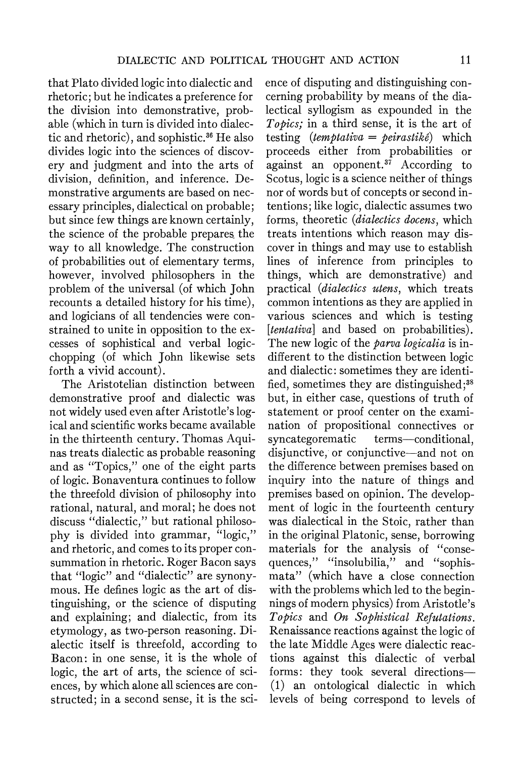**that Plato divided logic into dialectic and rhetoric; but he indicates a preference for the division into demonstrative, probable (which in turn is divided into dialectic and rhetoric), and sophistic."6 He also divides logic into the sciences of discovery and judgment and into the arts of division, definition, and inference. Demonstrative arguments are based on necessary principles, dialectical on probable; but since few things are known certainly, the science of the probable prepares, the way to all knowledge. The construction of probabilities out of elementary terms, however, involved philosophers in the problem of the universal (of which John recounts a detailed history for his time), and logicians of all tendencies were constrained to unite in opposition to the excesses of sophistical and verbal logicchopping (of which John likewise sets forth a vivid account).** 

**The Aristotelian distinction between demonstrative proof and dialectic was not widely used even after Aristotle's logical and scientific works became available in the thirteenth century. Thomas Aquinas treats dialectic as probable reasoning and as "Topics," one of the eight parts of logic. Bonaventura continues to follow the threefold division of philosophy into rational, natural, and moral; he does not discuss "dialectic," but rational philosophy is divided into grammar, "logic," and rhetoric, and comes to its proper consummation in rhetoric. Roger Bacon says that "logic" and "dialectic" are synonymous. He defines logic as the art of distinguishing, or the science of disputing and explaining; and dialectic, from its etymology, as two-person reasoning. Dialectic itself is threefold, according to Bacon: in one sense, it is the whole of logic, the art of arts, the science of sciences, by which alone all sciences are constructed; in a second sense, it is the sci-** **ence of disputing and distinguishing concerning probability by means of the dialectical syllogism as expounded in the Topics; in a third sense, it is the art of testing (temptativa = peirastike) which proceeds either from probabilities or against an opponent.7 According to Scotus, logic is a science neither of things nor of words but of concepts or second intentions; like logic, dialectic assumes two forms, theoretic (dialectics dozens, which treats intentions which reason may discover in things and may use to establish lines of inference from principles to things, which are demonstrative) and practical (dialectics tens, which treats common intentions as they are applied in various sciences and which is testing**  [*tentativa*] and based on probabilities]. **The new logic of the parva logicalia is indifferent to the distinction between logic and dialectic: sometimes they are identified, sometimes they are distinguished;38 but, in either case, questions of truth of statement or proof center on the examination of propositional connectives or syncategorematic terms-conditional, disjunctive, or conjunctive-and not on the difference between premises based on inquiry into the nature of things and premises based on opinion. The development of logic in the fourteenth century was dialectical in the Stoic, rather than in the original Platonic, sense, borrowing materials for the analysis of "consequences,". "insolubilia," and "sophismata" (which have a close connection with the problems which led to the beginnings of modern physics) from Aristotle's Topics and On Sophistical Refutations. Renaissance reactions against the logic of the late Middle Ages were dialectic reactions against this dialectic of verbal forms: they took several directions- (1) an ontological dialectic in which levels of being correspond to levels of**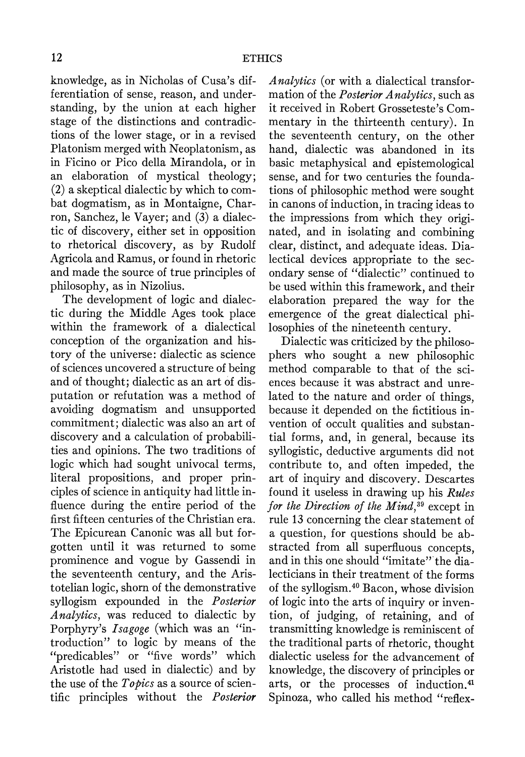**knowledge, as in Nicholas of Cusa's differentiation of sense, reason, and understanding, by the union at each higher stage of the distinctions and contradictions of the lower stage, or in a revised Platonism merged with Neoplatonism, as in Ficino or Pico della Mirandola, or in an elaboration of mystical theology; (2) a skeptical dialectic by which to combat dogmatism, as in Montaigne, Charron, Sanchez, le Vayer; and (3) a dialectic of discovery, either set in opposition to rhetorical discovery, as by Rudolf Agricola and Ramus, or found in rhetoric and made the source of true principles of philosophy, as in Nizolius.** 

**The development of logic and dialectic during the Middle Ages took place within the framework of a dialectical conception of the organization and history of the universe: dialectic as science of sciences uncovered a structure of being and of thought; dialectic as an art of disputation or refutation was a method of avoiding dogmatism and unsupported commitment; dialectic was also an art of discovery and a calculation of probabilities and opinions. The two traditions of logic which had sought univocal terms, literal propositions, and proper principles of science in antiquity had little influence during the entire period of the first fifteen centuries of the Christian era. The Epicurean Canonic was all but forgotten until it was returned to some prominence and vogue by Gassendi in the seventeenth century, and the Aristotelian logic, shorn of the demonstrative syllogism expounded in the Posterior Analytics, was reduced to dialectic by Porphyry's Isagoge (which was an "introduction" to logic by means of the "predicables" or "five words" which Aristotle had used in dialectic) and by the use of the Topics as a source of scientific principles without the Posterior**  **Analytics (or with a dialectical transformation of the Posterior Analytics, such as it received in Robert Grosseteste's Commentary in the thirteenth century). In the seventeenth century, on the other hand, dialectic was abandoned in its basic metaphysical and epistemological sense, and for two centuries the foundations of philosophic method were sought in canons of induction, in tracing ideas to the impressions from which they originated, and in isolating and combining clear, distinct, and adequate ideas. Dialectical devices appropriate to the secondary sense of "dialectic" continued to be used within this framework, and their elaboration prepared the way for the emergence of the great dialectical philosophies of the nineteenth century.** 

**Dialectic was criticized by the philosophers who sought a new philosophic method comparable to that of the sciences because it was abstract and unrelated to the nature and order of things, because it depended on the fictitious invention of occult qualities and substantial forms, and, in general, because its syllogistic, deductive arguments did not contribute to, and often impeded, the art of inquiry and discovery. Descartes found it useless in drawing up his Rules for the Direction of the Mind,39 except in rule 13 concerning the clear statement of a question, for questions should be abstracted from all superfluous concepts, and in this one should "imitate"'the dialecticians in their treatment of the forms of the syllogism.40 Bacon, whose division of logic into the arts of inquiry or invention, of judging, of retaining, and of transmitting knowledge is reminiscent of the traditional parts of rhetoric, thought dialectic useless for the advancement of knowledge, the discovery of principles or arts, or the processes of induction.4' Spinoza, who called his method "reflex-**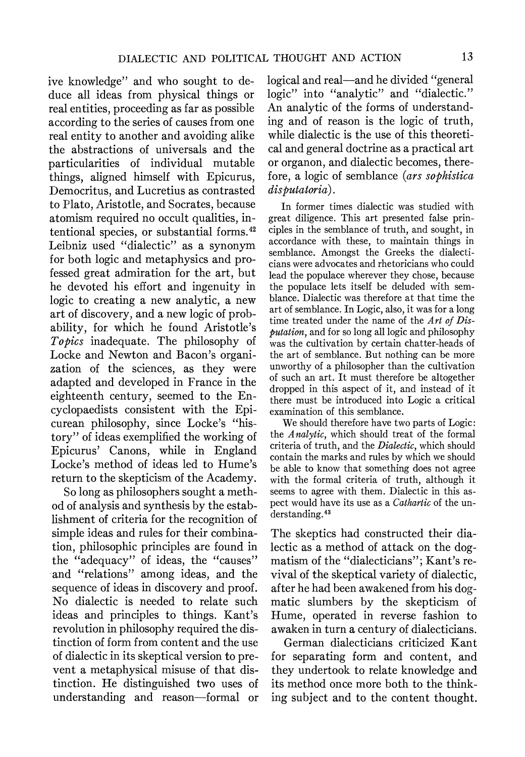**ive knowledge" and who sought to deduce all ideas from physical things or real entities, proceeding as far as possible according to the series of causes from one real entity to another and avoiding alike the abstractions of universals and the particularities of individual mutable things, aligned himself with Epicurus, Democritus, and Lucretius as contrasted to Plato, Aristotle, and Socrates, because atomism required no occult qualities, intentional species, or substantial forms.42 Leibniz used "dialectic" as a synonym for both logic and metaphysics and professed great admiration for the art, but he devoted his effort and ingenuity in logic to creating a new analytic, a new art of discovery, and a new logic of probability, for which he found Aristotle's Topics inadequate. The philosophy of Locke and Newton and Bacon's organization of the sciences, as they were adapted and developed in France in the eighteenth century, seemed to the Encyclopaedists consistent with the Epicurean philosophy, since Locke's "history" of ideas exemplified the working of Epicurus' Canons, while in England Locke's method of ideas led to Hume's return to the skepticism of the Academy.** 

**So long as philosophers sought a method of analysis and synthesis by the establishment of criteria for the recognition of simple ideas and rules for their combination, philosophic principles are found in the "adequacy" of ideas, the "causes"**  and "relations" among ideas, and the **sequence of ideas in discovery and proof. No dialectic is needed to relate such ideas and principles to things. Kant's revolution in philosophy required the distinction of form from content and the use of dialectic in its skeptical version to prevent a metaphysical misuse of that distinction. He distinguished two uses of understanding and reason-formal or**  **logical and real-and he divided "general logic" into "analytic" and "dialectic." An analytic of the forms of understanding and of reason is the logic of truth, while dialectic is the use of this theoretical and general doctrine as a practical art or organon, and dialectic becomes, therefore, a logic of semblance (ars sophistica disputatoria).** 

**In former times dialectic was studied with great diligence. This art presented false principles in the semblance of truth, and sought, in accordance with these, to maintain things in semblance. Amongst the Greeks the dialecticians were advocates and rhetoricians who could lead the populace wherever they chose, because the populace lets itself be deluded with semblance. Dialectic was therefore at that time the art of semblance. In Logic, also, it was for a long time treated under the name of the Art of Disputation, and for so long all logic and philosophy was the cultivation by certain chatter-heads of the art of semblance. But nothing can be more unworthy of a philosopher than the cultivation of such an art. It must therefore be altogether dropped in this aspect of it, and instead of it there must be introduced into Logic a critical examination of this semblance.** 

**We should therefore have two parts of Logic: the Analytic, which should treat of the formal criteria of truth, and the Dialectic, which should contain the marks and rules by which we should be able to know that something does not agree with the formal criteria of truth, although it seems to agree with them. Dialectic in this aspect would have its use as a Cathartic of the understanding.43** 

**The skeptics had constructed their dialectic as a method of attack on the dogmatism of the "dialecticians"; Kant's revival of the skeptical variety of dialectic, after he had been awakened from his dogmatic slumbers by the skepticism of Hume, operated in reverse fashion to awaken in turn a century of dialecticians.** 

**German dialecticians criticized Kant for separating form and content, and they undertook to relate knowledge and its method once more both to the thinking subject and to the content thought.**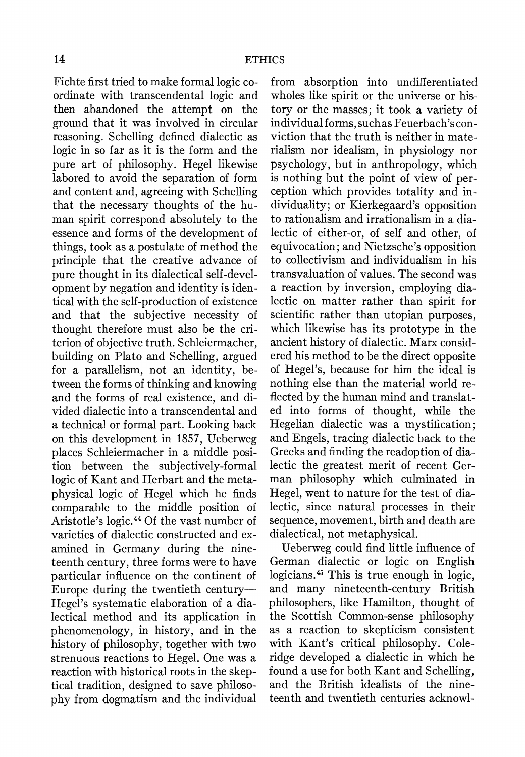**Fichte first tried to make formal logic coordinate with transcendental logic and then abandoned the attempt on the ground that it was involved in circular reasoning. Schelling defined dialectic as logic in so far as it is the form and the pure art of philosophy. Hegel likewise labored to avoid the separation of form and content and, agreeing with Schelling that the necessary thoughts of the human spirit correspond absolutely to the essence and forms of the development of things, took as a postulate of method the principle that the creative advance of pure thought in its dialectical self -development by negation and identity is identical with the self-production of existence and that the subjective necessity of thought therefore must also be the criterion of objective truth. Schleiermacher, building on Plato and Schelling, argued for a parallelism, not an identity, between the forms of thinking and knowing and the forms of real existence, and divided dialectic into a transcendental and a technical or formal part. Looking back on this development in 1857, Ueberweg places Schleiermacher in a middle position between the subjectively-formal logic of Kant and Herbart and the metaphysical logic of Hegel which he finds comparable to the middle position of Aristotle's logic.44 Of the vast number of varieties of dialectic constructed and examined in Germany during the nineteenth century, three forms were to have particular influence on the continent of Europe during the twentieth century-Hegel's systematic elaboration of a dia**lectical method and its application in **phenomenology, in history, and in the history of philosophy, together with two strenuous reactions to Hegel. One was a reaction with historical roots in the skeptical tradition, designed to save philosophy from dogmatism and the individual** 

**from absorption into undifferentiated wholes like spirit or the universe or history or the masses; it took a variety of individual forms, such as Feuerbach's conviction that the truth is neither in materialism nor idealism, in physiology nor psychology, but in anthropology, which is nothing but the point of view of perception which provides totality and individuality; or Kierkegaard's opposition to rationalism and irrationalism in a dialectic of either-or, of self and other, of equivocation; and Nietzsche's opposition to collectivism and individualism in his transvaluation of values. The second was a reaction by inversion, employing dialectic on matter rather than spirit for scientific rather than utopian purposes, which likewise has its prototype in the ancient history of dialectic. Marx considered his method to be the direct opposite of Hegel's, because for him the ideal is nothing else than the material world reflected by the human mind and translated into forms of thought, while the Hegelian dialectic was a mystification; and Engels, tracing dialectic back to the Greeks and finding the readoption of dialectic the greatest merit of recent German philosophy which culminated in Hegel, went to nature for the test of dialectic, since natural processes in their sequence, movement, birth and death are dialectical, not metaphysical.** 

**Ueberweg could find little influence of German dialectic or logic on English logicians.45 This is true enough in logic, and many nineteenth-century British philosophers, like Hamilton, thought of the Scottish Common-sense philosophy as a reaction to skepticism consistent with Kant's critical philosophy. Coleridge developed a dialectic in which he found a use for both Kant and Schelling, and the British idealists of the nineteenth and twentieth centuries acknowl-**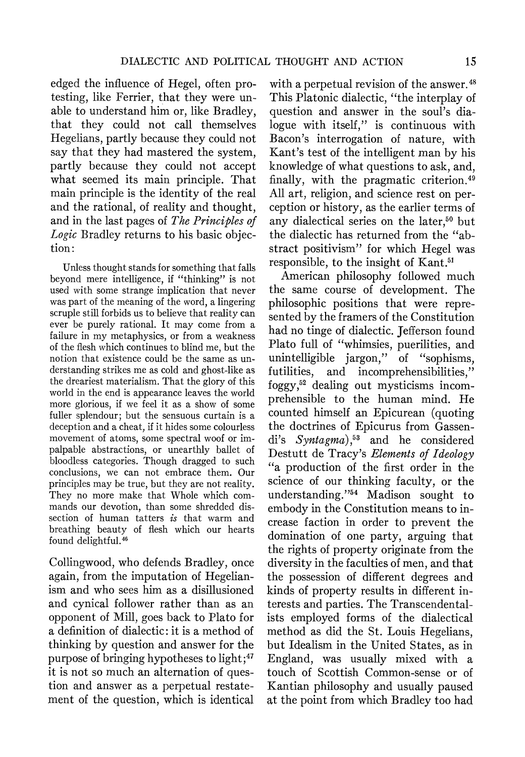**edged the influence of Hegel, often protesting, like Ferrier, that they were unable to understand him or, like Bradley, that they could not call themselves Hegelians, partly because they could not say that they had mastered the system, partly because they could not accept what seemed its main principle. That main principle is the identity of the real and the rational, of reality and thought, and in the last pages of The Principles of Logic Bradley returns to his basic objection:** 

**Unless thought stands for something that falls beyond mere intelligence, if "thinking" is not used with some strange implication that never was part of the meaning of the word, a lingering scruple still forbids us to believe that reality can ever be purely rational. It may come from a failure in my metaphysics, or from a weakness of the flesh which continues to blind me, but the notion that existence could be the same as understanding strikes me as cold and ghost-like as the dreariest materialism. That the glory of this world in the end is appearance leaves the world more glorious, if we feel it as a show of some fuller splendour; but the sensuous curtain is a deception and a cheat, if it hides some colourless movement of atoms, some spectral woof or impalpable abstractions, or unearthly ballet of bloodless categories. Though dragged to such conclusions, we can not embrace them. Our principles may be true, but they are not reality. They no more make that Whole which commands our devotion, than some shredded dissection of human tatters is that warm and breathing beauty of flesh which our hearts found delightful.46** 

**Collingwood, who defends Bradley, once again, from the imputation of Hegelianism and who sees him as a disillusioned and cynical follower rather than as an opponent of Mill, goes back to Plato for a definition of dialectic: it is a method of thinking by question and answer for the purpose of bringing hypotheses to light;47 it is not so much an alternation of question and answer as a perpetual restatement of the question, which is identical** 

**with a perpetual revision of the answer.48 This Platonic dialectic, "the interplay of question and answer in the soul's dialogue with itself," is continuous with Bacon's interrogation of nature, with Kant's test of the intelligent man by his knowledge of what questions to ask, and, finally, with the pragmatic criterion.49 All art, religion, and science rest on perception or history, as the earlier terms of any dialectical series on the later,50 but the dialectic has returned from the "abstract positivism" for which Hegel was responsible, to the insight of Kant.5"** 

**American philosophy followed much the same course of development. The philosophic positions that were represented by the framers of the Constitution had no tinge of dialectic. Jefferson found Plato full of "whimsies, puerilities, and unintelligible jargon," of "sophisms, futilities, and incomprehensibilities," foggy,52 dealing out mysticisms incomprehensible to the human mind. He counted himself an Epicurean (quoting the doctrines of Epicurus from Gassen**di's Syntagma),<sup>53</sup> and he considered **Destutt de Tracy's Elements of Ideology "a production of the first order in the science of our thinking faculty, or the understanding."54 Madison sought to embody in the Constitution means to increase faction in order to prevent the domination of one party, arguing that the rights of property originate from the diversity in the faculties of men, and that the possession of different degrees and kinds of property results in different interests and parties. The Transcendentalists employed forms of the dialectical method as did the St. Louis Hegelians, but Idealism in the United States, as in England, was usually mixed with a touch of Scottish Common-sense or of Kantian philosophy and usually paused at the point from which Bradley too had**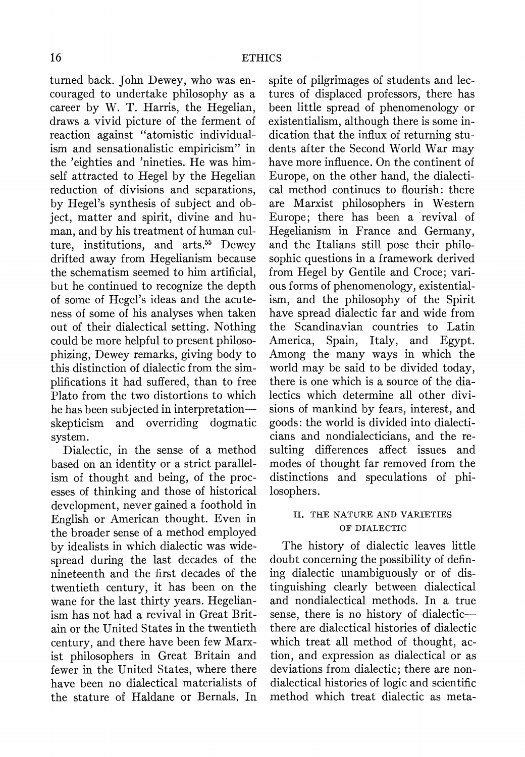**turned back. John Dewey, who was encouraged to undertake philosophy as a career by W. T. Harris, the Hegelian, draws a vivid picture of the ferment of reaction against "atomistic individualism and sensationalistic empiricism" in the 'eighties and 'nineties. He was himself attracted to Hegel by the Hegelian reduction of divisions and separations, by Hegel's synthesis of subject and object, matter and spirit, divine and human, and by his treatment of human culture, institutions, and arts.55 Dewey drifted away from Hegelianism because the schematism seemed to him artificial, but he continued to recognize the depth of some of Hegel's ideas and the acuteness of some of his analyses when taken out of their dialectical setting. Nothing could be more helpful to present philosophizing, Dewey remarks, giving body to this distinction of dialectic from the simplifications it had suffered, than to free Plato from the two distortions to which he has been subjected in interpretationskepticism and overriding dogmatic system.** 

**Dialectic, in the sense of a method based on an identity or a strict parallelism of thought and being, of the processes of thinking and those of historical development, never gained a foothold in English or American thought. Even in the broader sense of a method employed by idealists in which dialectic was widespread during the last decades of the nineteenth and the first decades of the twentieth century, it has been on the wane for the last thirty years. Hegelianism has not had a revival in Great Britain or the United States in the twentieth century, and there have been few Marxist philosophers in Great Britain and fewer in the United States, where there have been no dialectical materialists of the stature of Haldane or Bernals, In**  **spite of pilgrimages of students and lectures of displaced professors, there has been little spread of phenomenology or existentialism, although there is some indication that the influx of returning students after the Second World War may have more influence. On the continent of Europe, on the other hand, the dialectical method continues to flourish: there are Marxist philosophers in Western Europe; there has been a revival of Hegelianism in France and Germany, and the Italians still pose their philosophic questions in a framework derived from Hegel by Gentile and Croce; various forms of phenomenology, existentialism, and the philosophy of the Spirit have spread dialectic far and wide from the Scandinavian countries to Latin America, Spain, Italy, and Egypt. Among the many ways in which the world may be said to be divided today, there is one which is a source of the dialectics which determine all other divisions of mankind by fears, interest, and goods: the world is divided into dialecticians and nondialecticians, and the resulting differences affect issues and modes of thought far removed from the distinctions and speculations of philosophers.** 

## **II. THE NATURE AND VARIETIES OF DIALECTIC**

**The history of dialectic leaves little doubt concerning the possibility of defining dialectic unambiguously or of distinguishing clearly between dialectical and nondialectical methods. In a true sense, there is no history of dialecticthere are dialectical histories of dialectic which treat all method of thought, action, and expression as dialectical or as deviations from dialectic; there are nondialectical histories of logic and scientific method which treat dialectic as meta-**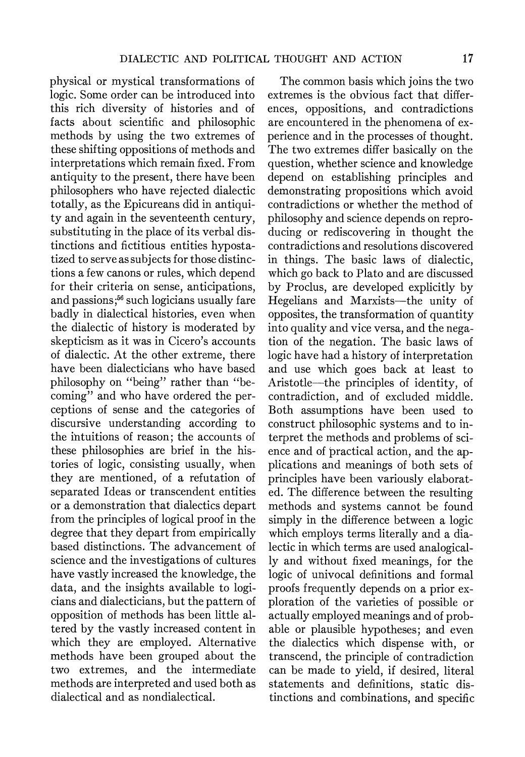**physical or mystical transformations of logic. Some order can be introduced into this rich diversity of histories and of facts about scientific and philosophic methods by using the two extremes of these shifting oppositions of methods and interpretations which remain fixed. From antiquity to the present, there have been philosophers who have rejected dialectic totally, as the Epicureans did in antiquity and again in the seventeenth century, substituting in the place of its verbal distinctions and fictitious entities hypostatized to serve as subjects for those distinctions a few canons or rules, which depend for their criteria on sense, anticipations, and passions;56 such logicians usually fare badly in dialectical histories, even when the dialectic of history is moderated by skepticism as it was in Cicero's accounts of dialectic. At the other extreme, there have been dialecticians who have based philosophy on "being" rather than "becoming" and who have ordered the perceptions of sense and the categories of discursive understanding according to the intuitions of reason; the accounts of these philosophies are brief in the histories of logic, consisting usually, when they are mentioned, of a refutation of separated Ideas or transcendent entities or a demonstration that dialectics depart from the principles of logical proof in the degree that they depart from empirically based distinctions. The advancement of science and the investigations of cultures have vastly increased the knowledge, the data, and the insights available to logicians and dialecticians, but the pattern of opposition of methods has been little altered by the vastly increased content in which they are employed. Alternative methods have been grouped about the two extremes, and the intermediate methods are interpreted and used both as dialectical and as nondialectical.** 

**The common basis which joins the two extremes is the obvious fact that differences, oppositions, and contradictions are encountered in the phenomena of experience and in the processes of thought. The two extremes differ basically on the question, whether science and knowledge depend on establishing principles and demonstrating propositions which avoid contradictions or whether the method of philosophy and science depends on reproducing or rediscovering in thought the contradictions and resolutions discovered in things. The basic laws of dialectic, which go back to Plato and are discussed by Proclus, are developed explicitly by Hegelians and Marxists-the unity of opposites, the transformation of quantity into quality and vice versa, and the negation of the negation. The basic laws of logic have had a history of interpretation and use which goes back at least to Aristotle-the principles of identity, of contradiction, and of excluded middle. Both assumptions have been used to construct philosophic systems and to interpret the methods and problems of science and of practical action, and the applications and meanings of both sets of principles have been variously elaborated. The difference between the resulting methods and systems cannot be found simply in the difference between a logic which employs terms literally and a dialectic in which terms are used analogically and without fixed meanings, for the logic of univocal definitions and formal proofs frequently depends on a prior exploration of the varieties of possible or actually employed meanings and of probable or plausible hypotheses; and even the dialectics which dispense with, or transcend, the principle of contradiction can be made to yield, if desired, literal statements and definitions, static distinctions and combinations, and specific**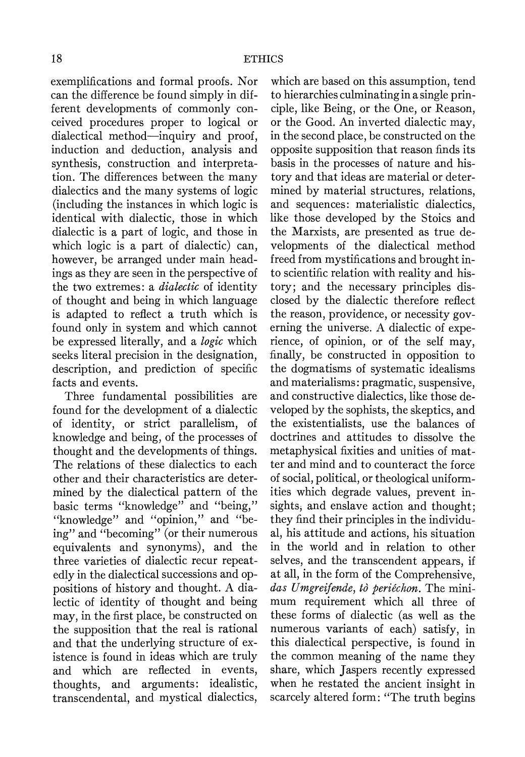**exemplifications and formal proofs. Nor can the difference be found simply in different developments of commonly conceived procedures proper to logical or dialectical method-inquiry and proof, induction and deduction, analysis and synthesis, construction and interpretation. The differences between the many dialectics and the many systems of logic (including the instances in which logic is identical with dialectic, those in which dialectic is a part of logic, and those in which logic is a part of dialectic) can, however, be arranged under main headings as they are seen in the perspective of the two extremes: a dialectic of identity of thought and being in which language is adapted to reflect a truth which is found only in system and which cannot be expressed literally, and a logic which seeks literal precision in the designation, description, and prediction of specific facts and events.** 

**Three fundamental possibilities are found for the development of a dialectic of identity, or strict parallelism, of knowledge and being, of the processes of thought and the developments of things. The relations of these dialectics to each other and their characteristics are determined by the dialectical pattern of the basic terms "knowledge" and "being," "knowledge" and "opinion," and "being" and "becoming" (or their numerous equivalents and synonyms), and the three varieties of dialectic recur repeatedly in the dialectical successions and oppositions of history and thought. A dialectic of identity of thought and being may, in the first place, be constructed on the supposition that the real is rational and that the underlying structure of existence is found in ideas which are truly and which are reflected in events, thoughts, and arguments: idealistic, transcendental, and mystical dialectics,** 

**which are based on this assumption, tend to hierarchies culminating in a single principle, like Being, or the One, or Reason, or the Good. An inverted dialectic may, in the second place, be constructed on the opposite supposition that reason finds its basis in the processes of nature and history and that ideas are material or determined by material structures, relations, and sequences: materialistic dialectics, like those developed by the Stoics and the Marxists, are presented as true developments of the dialectical method freed from mystifications and brought into scientific relation with reality and history; and the necessary principles disclosed by the dialectic therefore reflect the reason, providence, or necessity governing the universe. A dialectic of experience, of opinion, or of the self may, finally, be constructed in opposition to the dogmatisms of systematic idealisms and materialisms: pragmatic, suspensive, and constructive dialectics, like those developed by the sophists, the skeptics, and the existentialists, use the balances of doctrines and attitudes to dissolve the metaphysical fixities and unities of matter and mind and to counteract the force of social, political, or theological uniformities which degrade values, prevent insights; and enslave action and thought; they find their principles in the individual, his attitude and actions, his situation in the world and in relation to other selves, and the transcendent appears, if at all, in the form of the Comprehensive,**  das Umgreifende, tò periéchon. The mini**mum requirement which all three of these forms of dialectic (as well as the numerous variants of each) satisfy, in this dialectical perspective, is found in the common meaning of the name they share, which Jaspers recently expressed when he restated the ancient insight in scarcely altered form: "The truth begins**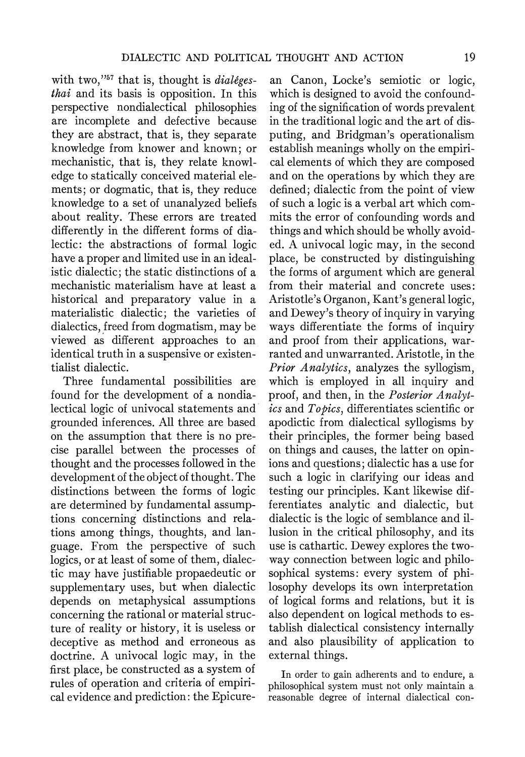with two,"<sup>57</sup> that is, thought is *dialéges***thai and its basis is opposition. In this perspective nondialectical philosophies are incomplete and defective because they are abstract, that is, they separate knowledge from knower and known; or mechanistic, that is, they relate knowledge to statically conceived material elements; or dogmatic, that is, they reduce knowledge to a set of unanalyzed beliefs about reality. These errors are treated differently in the different forms of dialectic: the abstractions of formal logic have a proper and limited use in an idealistic dialectic; the static distinctions of a mechanistic materialism have at least a historical and preparatory value in a materialistic dialectic; the varieties of dialectics, freed from dogmatism, may be viewed as different approaches to an identical truth in a suspensive or existentialist dialectic.** 

**Three fundamental possibilities are found for the development of a nondialectical logic of univocal statements and' grounded inferences. All three are based on the assumption that there is no precise parallel between the processes of thought and the processes followed in the development of the object of thought. The distinctions between the forms of logic are determined by fundamental assumptions concerning distinctions and relations among things, thoughts, and language. From the perspective of such logics, or at least of some of them, dialectic may have justifiable propaedeutic or supplementary uses, but when dialectic depends on metaphysical assumptions concerning the rational or material structure of reality or history, it is useless or deceptive as method and erroneous as doctrine. A univocal logic may, in the first place, be constructed as a system of rules of operation and criteria of empirical evidence and prediction: the Epicure-** **an Canon, Locke's semiotic or logic, which is designed to avoid the confounding of the signification of words prevalent in the traditional logic and the art of disputing, and Bridgman's operationalism establish meanings wholly on the empirical elements of which they are composed and on the operations by which they are defined; dialectic from the point of view of such a logic is a verbal art which commits the error of confounding words and things and which should be wholly avoided. A univocal logic may, in the second place, be constructed by distinguishing the forms of argument which are general from their material and concrete uses: Aristotle's Organon, Kant's general logic, and Dewey's theory of inquiry in varying ways differentiate the forms of inquiry and proof from their applications, warranted and unwarranted. Aristotle, in the Prior Analytics, analyzes the syllogism, which is employed in all inquiry and proof, and then, in the Posterior Analytics and Topics, differentiates scientific or apodictic from dialectical syllogisms by their principles, the former being based on things and causes, the latter on opinions and questions; dialectic has a use for such a logic in clarifying our ideas and testing our principles. Kant likewise differentiates analytic and dialectic, but dialectic is the logic of semblance and illusion in the critical philosophy, and its use is cathartic. Dewey explores the twoway connection between logic and philosophical systems: every system of philosophy develops its own interpretation of logical forms and relations, but it is also dependent on logical methods to establish dialectical consistency internally and also plausibility of application to external things.** 

**In order to gain adherents and to endure, a philosophical system must not only maintain a reasonable degree of internal dialectical con-**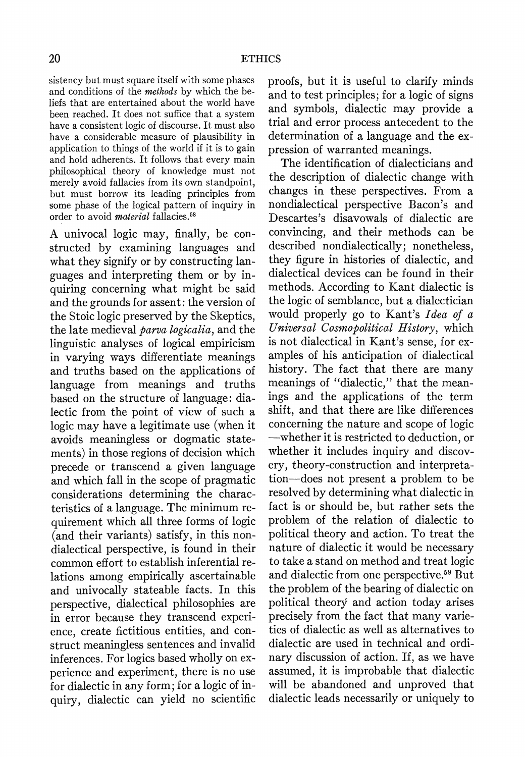**sistency but must square itself with some phases and conditions of the methods by which the beliefs that are entertained about the world have been reached. It does not suffice that a system have a consistent logic of discourse. It must also have a considerable measure of plausibility in application to things of the world if it is to gain and hold adherents. It follows that every main philosophical theory of knowledge must not merely avoid fallacies from its own standpoint, but must borrow its leading principles from some phase of the logical pattern of inquiry in order to avoid material fallacies.58** 

**A univocal logic may, finally, be constructed by examining languages and what they signify or by constructing languages and interpreting them or by inquiring concerning what might be said and the grounds for assent: the version of the Stoic logic preserved by the Skeptics, the late medieval parva logicalia, and the linguistic analyses of logical empiricism in varying ways differentiate meanings and truths based on the applications of language from meanings and truths based on the structure of language: dialectic from the point of view of such a logic may have a legitimate use (when it avoids meaningless or dogmatic statements) in those regions of decision which precede or transcend a given language and which fall in the scope of pragmatic considerations determining the characteristics of a language. The minimum requirement which all three forms of logic (and their variants) satisfy, in this nondialectical perspective, is found in their common effort to establish inferential relations among empirically ascertainable and univocally stateable facts. In this perspective, dialectical philosophies are in error because they transcend experience, create fictitious entities, and construct meaningless sentences and invalid inferences. For logics based wholly on experience and experiment, there is no use for dialectic in any form; for a logic of inquiry, dialectic can yield no scientific** 

**proofs, but it is useful to clarify minds and to test principles; for a logic of signs and symbols, dialectic may provide a trial and error process antecedent to the determination of a language and the expression of warranted meanings.** 

**The identification of dialecticians and the description of dialectic change with changes in these perspectives. From a nondialectical perspective Bacon's and Descartes's disavowals of dialectic are convincing, and their methods can be described nondialectically; nonetheless, they figure in histories of dialectic, and dialectical devices can be found in their methods. According to Kant dialectic is the logic of semblance, but a dialectician would properly go to Kant's Idea of a Universal Cosmopolitical History, which is not dialectical in Kant's sense, for examples of his anticipation of dialectical history. The fact that there are many meanings of "dialectic," that the meanings and the applications of the term shift, and that there are like differences concerning the nature and scope of logic -whether it is restricted to deduction, or whether it includes inquiry and discovery, theory-construction and interpretation-does not present a problem to be resolved by determining what dialectic in fact is or should be, but rather sets the problem of the relation of dialectic to political theory and action. To treat the nature of dialectic it would be necessary to take a stand on method and treat logic and dialectic from one perspective.59 But the problem of the bearing of dialectic on political theory and action today arises precisely from the fact that many varieties of dialectic as well as alternatives to dialectic are used in technical and ordinary discussion of action. If, as we have assumed, it is improbable that dialectic will be abandoned and unproved that dialectic leads necessarily or uniquely to**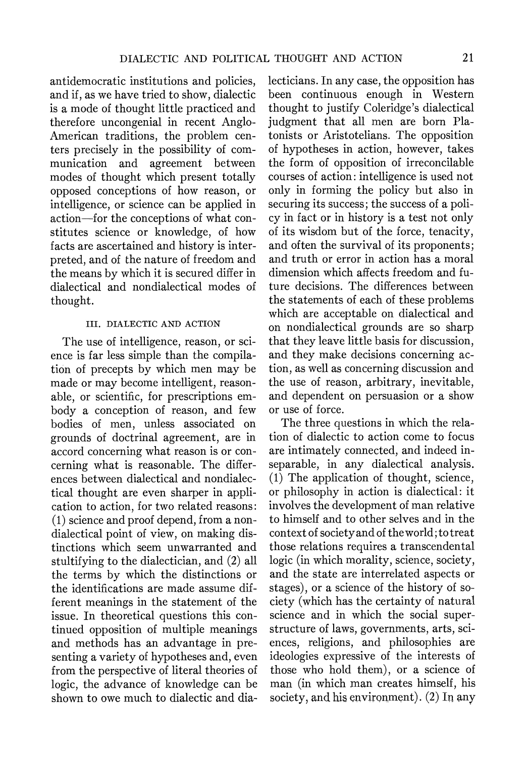**antidemocratic institutions and policies, and if, as we have tried to show, dialectic is a mode of thought little practiced and therefore uncongenial in recent Anglo-American traditions, the problem centers precisely in the possibility of communication and agreement between modes of thought which present totally opposed conceptions of how reason, or intelligence, or science can be applied in action-for the conceptions of what constitutes science or knowledge, of how facts are ascertained and history is interpreted, and of the nature of freedom and the means by which it is secured differ in dialectical and nondialectical modes of thought.** 

#### **III. DIALECTIC AND ACTION**

**The use of intelligence, reason, or science is far less simple than the compilation of precepts by which men may be made or may become intelligent, reasonable, or scientific, for prescriptions embody a conception of reason, and few bodies of men, unless associated on grounds of doctrinal agreement, are in accord concerning what reason is or concerning what is reasonable. The differences between dialectical and nondialectical thought are even sharper in application to action, for two related reasons: (1) science and proof depend, from a nondialectical point of view, on making distinctions which seem unwarranted and stultifying to the dialectician, and (2) all the terms by which the distinctions or the identifications are made assume different meanings in the statement of the issue. In theoretical questions this continued opposition of multiple meanings and methods has an advantage in presenting a variety of hypotheses and, even from the perspective of literal theories of logic, the advance of knowledge can be shown to owe much to dialectic and dia-** **lecticians. In any case, the opposition has been continuous enough in Western thought to justify Coleridge's dialectical judgment that all men are born Platonists or Aristotelians. The opposition of hypotheses in action, however, takes the form of opposition of irreconcilable courses of action: intelligence is used not only in forming the policy but also in securing its success; the success of a policy in fact or in history is a test not only of its wisdom but of the force, tenacity, and often the survival of its proponents; and truth or error in action has a moral dimension which affects freedom and future decisions. The differences between the statements of each of these problems which are acceptable on dialectical and on nondialectical grounds are so sharp that they leave little basis for discussion, and they make decisions concerning action, as well as concerning discussion and the use of reason, arbitrary, inevitable, and dependent on persuasion or a show or use of force.** 

**The three questions in which the relation of dialectic to action come to focus are intimately connected, and indeed inseparable, in any dialectical analysis. (1) The application of thought, science, or philosophy in action is dialectical: it involves the development of man relative to himself and to other selves and in the context of society and of theworld; to treat those relations requires a transcendental logic (in which morality, science, society, and the state are interrelated aspects or stages), or a science of the history of society (which has the certainty of natural science and in which the social superstructure of laws, governments, arts, sciences, religions, and philosophies are ideologies expressive of the interests of those who hold them), or a science of man (in which man creates himself, his society, and his environment). (2) In any**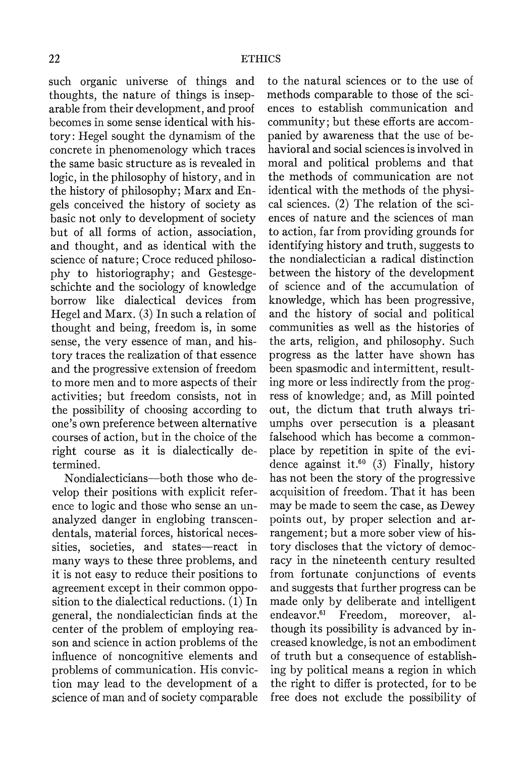**such organic universe of things and thoughts, the nature of things is inseparable from their development, and proof becomes in some sense identical with history: Hegel sought the dynamism of the concrete in phenomenology which traces the same basic structure as is revealed in logic, in the philosophy of history, and in the history of philosophy; Marx and Engels conceived the history of society as basic not only to development of society but of all forms of action, association, and thought, and as identical with the science of nature; Croce reduced philosophy to historiography; and Gestesgeschichte and the sociology of knowledge borrow like dialectical devices from Hegel and Marx. (3) In such a relation of thought and being, freedom is, in some sense, the very essence of man, and history traces the realization of that essence and the progressive extension of freedom to more men and to more aspects of their activities; but freedom consists, not in the possibility of choosing according to one's own preference between alternative courses of action, but in the choice of the right course as it is dialectically determined.** 

**Nondialecticians-both those who develop their positions with explicit reference to logic and those who sense an unanalyzed danger in englobing transcendentals, material forces, historical neces**sities, societies, and states-react in **many ways to these three problems, and it' is not easy to reduce their positions to agreement except in their common opposition to the dialectical reductions. (1) In general, the nondialectician finds at the center of the problem of employing reason and science in action problems of the influence of noncognitive elements and problems of communication. His conviction may lead to the development of a \*science of man and of society comparable** 

**to the natural sciences or to the use of methods comparable to those of the sciences to establish communication and community; but these efforts are accompanied by awareness that the use of behavioral and social sciences is involved in moral and political problems and that the methods of communication are not identical with the methods of the physical sciences. (2) The relation of the sciences of nature and the sciences of man to action, far from providing grounds for identifying history and truth, suggests to the nondialectician a radical distinction between the history of the development of science and of the accumulation of knowledge, which has been progressive, and the history of social and political communities as well as the histories of the arts, religion, and philosophy. Such progress as the latter have shown has been spasmodic and intermittent, resulting more or less indirectly from the progress of knowledge; and, as Mill pointed out, the dictum that truth always triumphs over persecution is a pleasant falsehood which has become a commonplace by repetition in spite of the evidence against it.60 (3) Finally, history has not been the story of the progressive acquisition of freedom. That it has been may be made to seem the case, as Dewey points out, by proper selection and arrangement; but a more sober view of history discloses that the victory of democracy in the nineteenth century resulted from fortunate conjunctions of events and suggests that further progress can be made only by deliberate and intelligent**  endeavor.<sup>61</sup> Freedom, moreover, al**though its possibility is advanced by increased knowledge, is not an embodiment of truth but a consequence of establishing by political means a region in which the right to differ is protected, for to be free does not exclude the possibility of**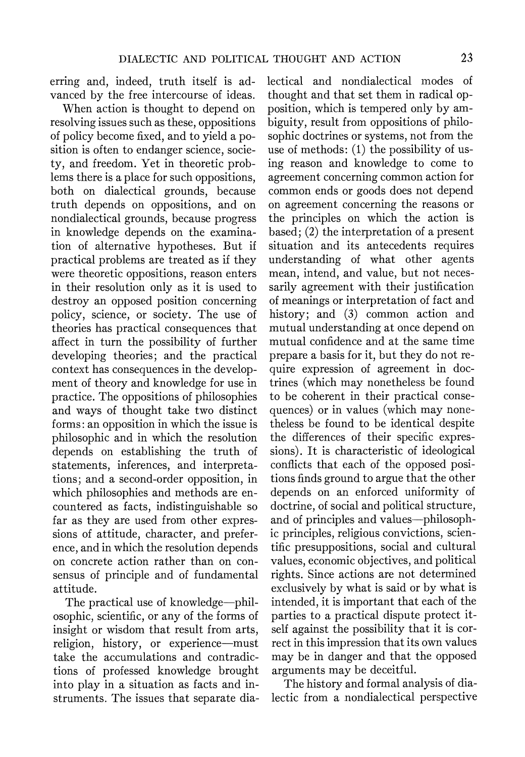**erring and, indeed, truth itself is advanced by the free intercourse of ideas.** 

**When action is thought to depend on resolving issues such as these, oppositions of policy become fixed, and to yield a position is often to endanger science, society, and freedom. Yet in theoretic problems there is a place for such oppositions, both on dialectical grounds, because truth depends on oppositions, and on nondialectical grounds, because progress in knowledge depends on the examination of alternative hypotheses. But if practical problems are treated as if they were theoretic oppositions, reason enters in their resolution only as it is used to destroy an opposed position concerning policy, science, or society. The use of theories has practical consequences that affect in turn the possibility of further developing theories; and the practical context has consequences in the development of theory and knowledge for use in practice. The oppositions of philosophies and ways of thought take two distinct forms: an opposition in which the issue is philosophic and in which the resolution depends on establishing the truth of statements, inferences, and interpretations; and a second-order opposition, in which philosophies and methods are encountered as facts, indistinguishable so far as they are used from other expressions of attitude, character, and preference, and in which the resolution depends on concrete action rather than on consensus of principle and of fundamental attitude.** 

**The practical use of knowledge-philosophic, scientific, or any of the forms of insight or wisdom that result from arts, religion, history, or experience-must take the accumulations and contradictions of professed knowledge brought into play in a situation as facts and instruments. The issues that separate dia-** **lectical and nondialectical modes of thought and that set them in radical opposition, which is tempered only by ambiguity, result from oppositions of philosophic doctrines or systems, not from the use of methods: (1) the possibility of using reason and knowledge to come to agreement concerning common action for common ends or goods does not depend on agreement concerning the reasons or the principles on which the action is based; (2) the interpretation of a present situation and its antecedents requires understanding of what other agents mean, intend, and value, but not necessarily agreement with their justification of meanings or interpretation of fact and history; and (3) common action and mutual understanding at once depend on mutual confidence and at the same time prepare a basis for it, but they do not require expression of agreement in doctrines (which may nonetheless be found to be coherent in their practical consequences) or in values (which may nonetheless be found to be identical despite the differences of their specific expressions). It is characteristic of ideological conflicts that each of the opposed positions finds ground to argue that the other depends on an enforced uniformity of doctrine, of social and political structure,**  and of principles and values—philosoph**ic principles, religious convictions, scientific presuppositions, social and cultural values, economic objectives, and political rights. Since actions are not determined exclusively by what is said or by what is intended, it is important that each of the parties to a practical dispute protect itself against the possibility that it is correct in this impression that its own values may be in danger and that the opposed arguments may be deceitful.** 

**The history and formal analysis of dialectic from a nondialectical perspective**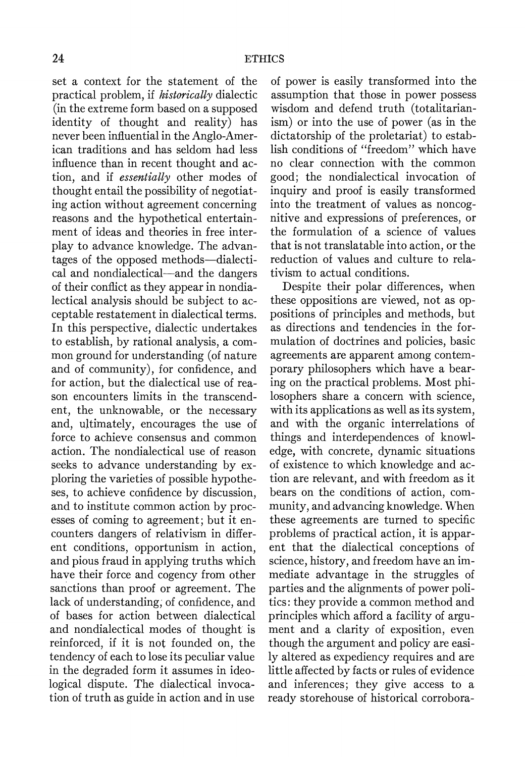**set a context for the statement of the practical problem, if historically dialectic (in the extreme form based on a supposed identity of thought and reality) has never been influential in the Anglo-American traditions and has seldom had less influence than in recent thought and action, and if essentially other modes of thought entail the possibility of negotiating action without agreement concerning reasons and the hypothetical entertainment of ideas and theories in free interplay to advance knowledge. The advantages of the opposed methods-dialectical and nondialectical-and the dangers of their conflict as they appear in nondialectical analysis should be subject to acceptable restatement in dialectical terms. In this perspective, dialectic undertakes to establish, by rational analysis, a common ground for understanding (of nature and of community), for confidence, and for action, but the dialectical use of reason encounters limits in the transcendent, the unknowable, or the necessary and, ultimately, encourages the use of force to achieve consensus and common action. The nondialectical use of reason seeks to advance understanding by exploring the varieties of possible hypotheses, to achieve confidence by discussion, and to institute common action by processes of coming to agreement; but it encounters dangers of relativism in different conditions, opportunism in action, and pious fraud in applying truths which have their force and cogency from other sanctions than proof or agreement. The lack of understanding, of confidence, and of bases for action between dialectical and nondialectical modes of thought is reinforced, if it is not founded on, the tendency of each to lose its peculiar value in the degraded form it assumes in ideological dispute. The dialectical invocation of truth as guide in action and in use** 

**of power is easily transformed into the assumption that those in power possess wisdom and defend truth (totalitarianism) or into the use of power (as in the dictatorship of the proletariat) to establish conditions of "freedom" which have no clear connection with the common good; the nondialectical invocation of inquiry and proof is easily transformed into the treatment of values as noncognitive and expressions of preferences, or the formulation of a science of values that is not translatable into action, or the reduction of values and culture to relativism to actual conditions.** 

**Despite their polar differences, when these oppositions are viewed, not as oppositions of principles and methods, but as directions and tendencies in the formulation of doctrines and policies, basic agreements are apparent among contemporary philosophers which have a bearing on the practical problems. Most philosophers share a concern with science, with its applications as well as its system, and with the organic interrelations of things and interdependences of knowledge, with concrete, dynamic situations of existence to which knowledge and action are relevant, and with freedom as it bears on the conditions of action, community, and advancing knowledge. When these agreements are turned to specific problems of practical action, it is apparent that the dialectical conceptions of science, history, and freedom have an immediate advantage in the struggles of parties and the alignments of power politics: they provide a common method and principles which afford a facility of argument and a clarity of exposition, even though the argument and policy are easily altered as expediency requires and are little affected by facts or rules of evidence and inferences; they give access to a ready storehouse of historical corrobora-**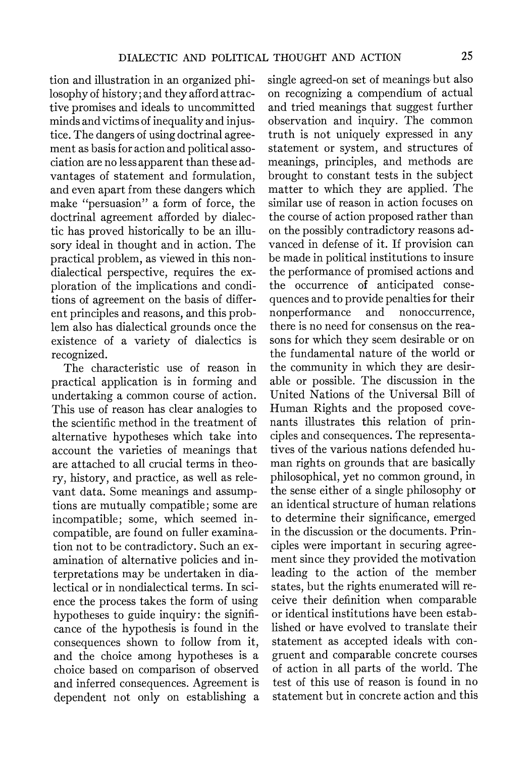**tion and illustration in an organized philosophy of history; and they afford attractive promises and ideals to uncommitted minds and victims of inequality and injustice. The dangers of using doctrinal agreement as basis for action and political association are no less apparent than these advantages of statement and formulation, and even apart from these dangers which make "persuasion" a form of force, the doctrinal agreement afforded by dialectic has proved historically to be an illusory ideal in thought and in action. The practical problem, as viewed in this nondialectical perspective, requires the exploration of the implications and conditions of agreement on the basis of different principles and reasons, and this problem also has dialectical grounds once the existence of a variety of dialectics is recognized.** 

**The characteristic use of reason in practical application is in forming and undertaking a common course of action. This use of reason has clear analogies to the scientific method in the treatment of alternative hypotheses which take into account the varieties of meanings that are attached to all crucial terms in theory, history, and practice, as well as relevant data. Some meanings and assumptions are mutually compatible; some are incompatible; some, which seemed incompatible, are found on fuller examination not to be contradictory. Such an examination of alternative policies and interpretations may be undertaken in dialectical or in nondialectical terms. In science the process takes the form of using hypotheses to guide inquiry: the significance of the hypothesis is found in the consequences shown to follow from it, and the choice among hypotheses is a choice based on comparison of observed and inferred consequences. Agreement is dependent not only on establishing a**  **single agreed-on set of meanings, but also on recognizing a compendium of actual and tried meanings that suggest further observation and inquiry. The common truth is not uniquely expressed in any statement or system, and structures of meanings, principles, and methods are brought to constant tests in the subject matter to which they are applied. The similar use of reason in action focuses on the course of action proposed rather than on the possibly contradictory reasons advanced in defense of it. If provision can be made in political institutions to insure the performance of promised actions and the occurrence of anticipated consequences and to provide penalties for their nonperformance and nonoccurrence, there is no need for consensus on the reasons for which they seem desirable or on the fundamental nature of the world or the community in which they are desirable or possible. The discussion in the United Nations of the Universal Bill of Human Rights and the proposed covenants illustrates this relation of principles and consequences. The representatives of the various nations defended human rights on grounds that are basically philosophical, yet no common ground, in the sense either of a single philosophy or an identical structure of human relations to determine their significance, emerged in the discussion or the documents. Principles were important in securing agreement since they provided the motivation leading to the action of the member states, but the rights enumerated will receive their definition when comparable or identical institutions have been established or have evolved to translate their statement as accepted ideals with congruent and comparable concrete courses of action in all parts of the world. The test of this use of reason is found in no statement but in concrete action and this**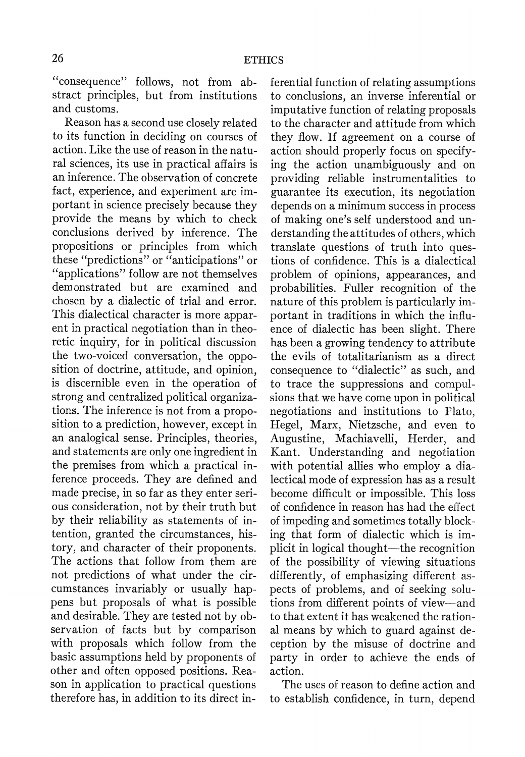**"consequence" follows, not from abstract principles, but from institutions and customs.** 

**Reason has a second use closely related to its function in deciding on courses of action. Like the use of reason in the natural sciences, its use in practical affairs is an inference. The observation of concrete fact, experience, and experiment are important in science precisely because they provide the means by which to check conclusions derived by inference. The propositions or principles from which these "predictions" or "anticipations" or ''applications" follow are not themselves demonstrated but are examined and chosen by a dialectic of trial and error. This dialectical character is more apparent in practical negotiation than in theoretic inquiry, for in political discussion the two-voiced conversation, the opposition of doctrine, attitude, and opinion, is discernible even in the operation of strong and centralized political organizations. The inference is not from a proposition to a prediction, however, except in an analogical sense. Principles, theories, and statements are only one ingredient in the premises from which a practical inference proceeds. They are defined and made precise, in so far as they enter serious consideration, not by their truth but by their reliability as statements of intention, granted the circumstances, history, and character of their proponents. The actions that follow from them are not predictions of what under the circumstances invariably or usually happens but proposals of what is possible and desirable. They are tested not by observation of facts but by comparison with proposals which follow from the basic assumptions held by proponents of other and often opposed positions. Reason in application to practical questions therefore has, in addition to its direct in-** **ferential function of relating assumptions to conclusions, an inverse inferential or imputative function of relating proposals to the character and attitude from which they flow. If agreement on a course of action should properly focus on specifying the action unambiguously and on providing reliable instrumentalities to guarantee its execution, its negotiation depends on a minimum success in process of making one's self understood and understanding the attitudes of others, which translate questions of truth into questions of confidence. This is a dialectical problem of opinions, appearances, and probabilities. Fuller recognition of the nature of this problem is particularly important in traditions in which the influence of dialectic has been slight. There has been a growing tendency to attribute the evils of totalitarianism as a direct consequence to "dialectic" as such, and to trace the suppressions and compulsions that we have come upon in political negotiations and institutions to Plato, Hegel, Marx, Nietzsche, and even to Augustine, Machiavelli, Herder, and Kant. Understanding and negotiation with potential allies who employ a dialectical mode of expression has as a result become difficult or impossible. This loss of confidence in reason has had the effect of impeding and sometimes totally blocking that form of dialectic which is implicit in logical thought-the recognition of the possibility of viewing situations differently, of emphasizing different aspects of problems, and of seeking solutions from different points of view-and to that extent it has weakened the rational means by which to guard against deception by the misuse of doctrine and party in order to achieve the ends of action.** 

**The uses of reason to define action and to establish confidence, in turn, depend**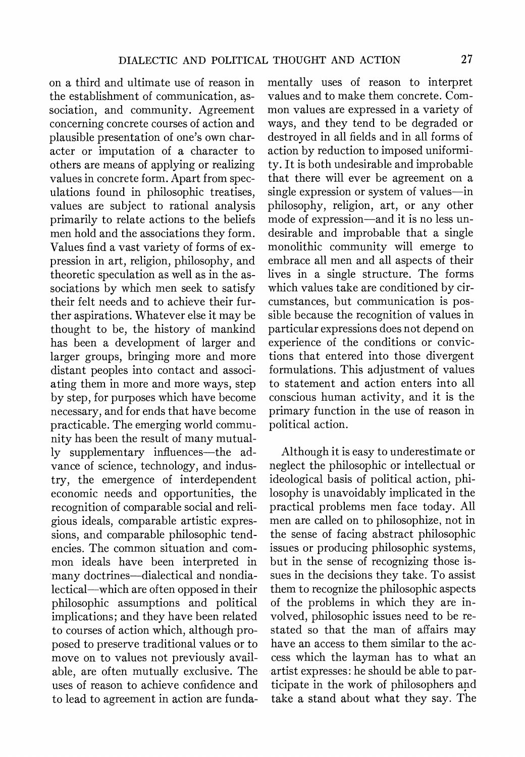**on a third and ultimate use of reason in the establishment of communication, association, and community. Agreement concerning concrete courses of action and plausible presentation of one's own character or imputation of a character to others are means of applying or realizing values in concrete form. Apart from speculations found in philosophic treatises, values are subject to rational analysis primarily to relate actions to the beliefs men hold and the associations they form. Values find a vast variety of forms of expression in art, religion, philosophy, and theoretic speculation as well as in the associations by which men seek to satisfy their felt needs and to achieve their further aspirations. Whatever else it may be thought to be, the history of mankind has been a development of larger and larger groups, bringing more and more distant peoples into contact and associating them in more and more ways, step by step, for purposes which have become necessary, and for ends that have become practicable. The emerging world community has been the result of many mutually supplementary influences-the advance of science, technology, and industry, the emergence of interdependent economic needs and opportunities, the recognition of comparable social and religious ideals, comparable artistic expressions, and comparable philosophic tendencies. The common situation and common ideals have been interpreted in many doctrines-dialectical and nondialectical-which are often opposed in their philosophic assumptions and political implications; and they have been related to courses of action which, although proposed to preserve traditional values or to move on to values not previously available, are often mutually exclusive. The uses of reason to achieve confidence and to lead to agreement in action are funda-** **mentally uses of reason to interpret values and to make them concrete. Common values are expressed in a variety of ways, and they tend to be degraded or destroyed in all fields and in all forms of action by reduction to imposed uniformity. It is both undesirable and improbable that there will ever be agreement on a single expression or system of values-in philosophy, religion, art, or any other**  mode of expression—and it is no less un**desirable and improbable that a single monolithic community will emerge to embrace all men and all aspects of their lives in a single structure. The forms which values take are conditioned by circumstances, but communication is possible because the recognition of values in particular expressions does not depend on experience of the conditions or convictions that entered into those divergent formulations. This adjustment of values to statement and action enters into all conscious human activity, and it is the primary function in the use of reason in political action.** 

**Although it is easy to underestimate or neglect the philosophic or intellectual or ideological basis of political action, philosophy is unavoidably implicated in the practical problems men face today. All men are called on to philosophize, not in the sense of facing abstract philosophic issues or producing philosophic systems, but in the sense of recognizing those issues in the decisions they take. To assist them to recognize the philosophic aspects of the problems in which they are involved, philosophic issues need to be restated so that the man of affairs may have an access to them similar to the access which the layman has to what an artist expresses: he should be able to participate in the work of philosophers and take a stand about what they say. The**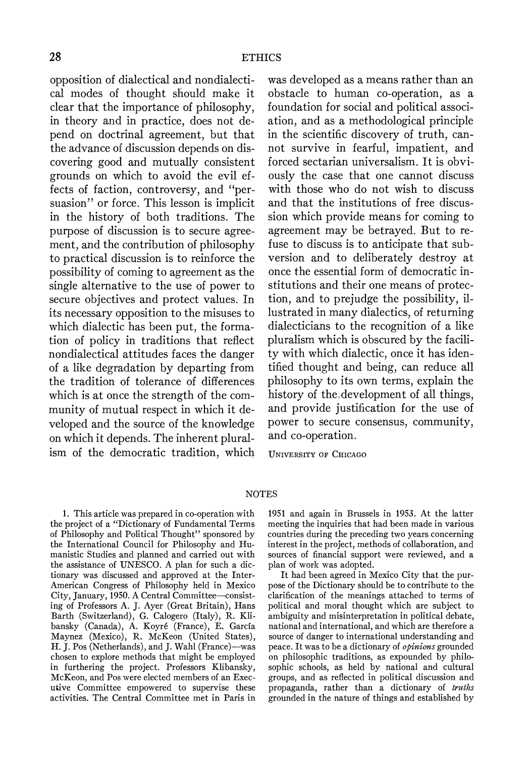**opposition of dialectical and nondialectical modes of thought should make it clear that the importance of philosophy, in theory and in practice, does not depend on doctrinal agreement, but that the advance of discussion depends on discovering good and mutually consistent grounds on which to avoid the evil effects of faction, controversy, and "persuasion" or force. This lesson is implicit in the history of both traditions. The purpose of discussion is to secure agreement, and the contribution of philosophy to practical discussion is to reinforce the possibility of coming to agreement as the single alternative to the use of power to secure objectives and protect values. In its necessary opposition to the misuses to which dialectic has been put, the formation of policy in traditions that reflect nondialectical attitudes faces the danger of a like degradation by departing from the tradition of tolerance of differences which is at once the strength of the community of mutual respect in which it developed and the source of the knowledge on which it depends. The inherent pluralism of the democratic tradition, which** 

**was developed as a means rather than an obstacle to human co-operation, as a foundation for social and political association, and as a methodological principle in the scientific discovery of truth, cannot survive in fearful, impatient, and forced sectarian universalism. It is obviously the case that one cannot discuss with those who do not wish to discuss and that the institutions of free discussion which provide means for coming to agreement may be betrayed. But to refuse to discuss is to anticipate that subversion and to deliberately destroy at once the essential form of democratic institutions and their one means of protection, and to prejudge the possibility, illustrated in many dialectics, of returning dialecticians to the recognition of a like pluralism which is obscured by the facility with which dialectic, once it has identified thought and being, can reduce all philosophy to its own terms, explain the history of the development of all things, and provide justification for the use of power to secure consensus, community, and co-operation.** 

**UNIVERSITY OF CHICAGO** 

#### **NOTES**

**1. This article was prepared in co-operation with the project of a "Dictionary of Fundamental Terms of Philosophy and Political Thought" sponsored by the International Council for Philosophy and Humanistic Studies and planned and carried out with the assistance of UNESCO. A plan for such a dictionary was discussed and approved at the Inter-American Congress of Philosophy held in Mexico City, January, 1950. A Central Committee-consisting of Professors A. J. Ayer (Great Britain), Hans Barth (Switzerland), G. Calogero (Italy), R. Klibansky (Canada), A. Koyr6 (France), E. Garcia Maynez (Mexico), R. McKeon (United States), H. J. Pos (Netherlands), and J. Wahl (France)-was chosen to explore methods that might be employed in furthering the project. Professors Klibansky, McKeon, and Pos were elected members of an Executive Committee empowered to supervise these activities. The Central Committee met in Paris in** 

**1951 and again in Brussels in 1953. At the latter meeting the inquiries that had been made in various countries during the preceding two years concerning interest in the project, methods of collaboration, and sources of financial support were reviewed, and a plan of work was adopted.** 

**It had been agreed in Mexico City that the purpose of the Dictionary should be to contribute to the clarification of the meanings attached to terms of political and moral thought which are subject to ambiguity and misinterpretation in political debate, national and international, and which are therefore a source of danger to international understanding and peace. It was to be a dictionary of opinions grounded on philosophic traditions, as expounded by philosophic schools, as held by national and cultural groups, and as reflected in political discussion and propaganda, rather than a dictionary of truths grounded in the nature of things and established by**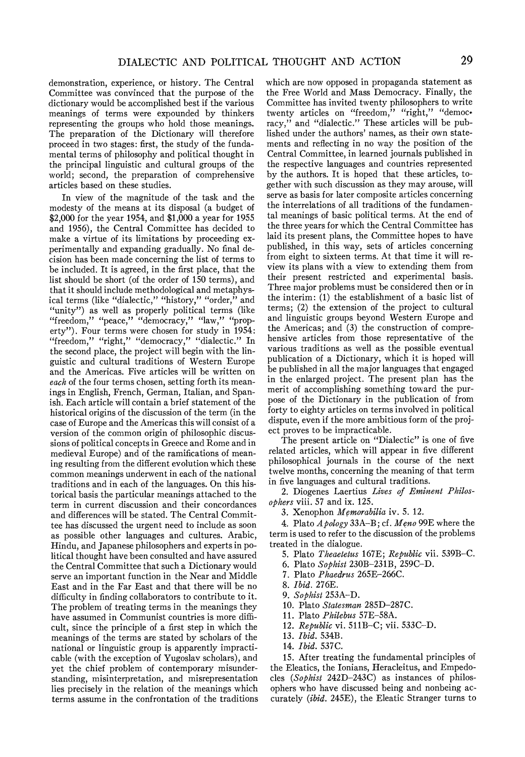**demonstration, experience, or history. The Central Committee was convinced that the purpose of the dictionary would be accomplished best if the various meanings of terms were expounded by thinkers representing the groups who hold those meanings. The preparation of the Dictionary will therefore proceed in two stages: first, the study of the fundamental terms of philosophy and political thought in the principal linguistic and cultural groups of the world; second, the preparation of comprehensive articles based on these studies.** 

**In view of the magnitude of the task and the modesty of the means at its disposal (a budget of \$2,000 for the year 1954, and \$1,000 a year for 1955 and 1956), the Central Committee has decided to make a virtue of its limitations by proceeding experimentally and expanding gradually. No final decision has been made concerning the list of terms to be included. It is agreed, in the first place, that the list should be short (of the order of 150 terms), and that it should include methodological and metaphysical terms (like "dialectic," "history," "order," and "unity") as well as properly political terms (like "freedom,") "peace," "democracy," "law," "property"). Four terms were chosen for study in 1954: "freedom," "right," "democracy," "dialectic." In the second place, the project will begin with the linguistic and cultural traditions of Western Europe and the Americas. Five articles will be written on each of the four terms chosen, setting forth its meanings in English, French, German, Italian, and Spanish. Each article will contain a brief statement of the historical origins of the discussion of the term (in the case of Europe and the Americas this will consist of a version of the common origin of philosophic discussions of political concepts in Greece and Rome and in medieval Europe) and of the ramifications of meaning resulting from the different evolution which these common meanings underwent in each of the national traditions and in each of the languages. On this historical basis the particular meanings attached to the term in current discussion and their concordances and differences will be stated. The Central Committee has discussed the urgent need to include as soon as possible other languages and cultures. Arabic, Hindu, and Japanese philosophers and experts in political thought have been consulted and have assured the Central Committee that such a Dictionary would serve an important function in the Near and Middle East and in the Far East and that there will be no difficulty in finding collaborators to contribute to it. The problem of treating terms in the meanings they have assumed in Communist countries is more difficult, since the principle of a first step in which the meanings of the terms are stated by scholars of the national or linguistic group is apparently impracticable (with the exception of Yugoslav scholars), and yet the chief problem of contemporary misunderstanding, misinterpretation, and misrepresentation lies precisely in the relation of the meanings which terms assume in the confrontation of the traditions**  **which are now opposed in propaganda statement as the Free World and Mass Democracy. Finally, the Committee has invited twenty philosophers to write twenty articles on "freedom," "right," "democ**racy," and "dialectic." These articles will be pub**lished under the authors' names, as their own statements and reflecting in no way the position of the Central Committee, in learned journals published in the respective languages and countries represented by the authors. It is hoped that these articles, together with such discussion as they may arouse, will serve as basis for later composite articles concerning the interrelations of all traditions of the fundamental meanings of basic political terms. At the end of the three years for which the Central Committee has laid its present plans, the Committee hopes to have published, in this way, sets of articles concerning from eight to sixteen terms. At that time it will review its plans with a view to extending them from their present restricted and experimental basis. Three major problems must be considered then or in the interim: (1) the establishment of a basic list of terms; (2) the extension of the project to cultural and linguistic groups beyond Western Europe and the Americas; and (3) the construction of comprehensive articles from those representative of the various traditions as well as the possible eventual publication of a Dictionary, which it is hoped will be published in all the major languages that engaged in the enlarged project. The present plan has the merit of accomplishing something toward the purpose of the Dictionary in the publication of from forty to eighty articles on terms involved in political dispute, even if the more ambitious form of the project proves to be impracticable.** 

**The present article on "Dialectic" is one of five related articles, which will appear in five different philosophical journals in the course of the next twelve months, concerning the meaning of that term in five languages and cultural traditions.** 

**2. Diogenes Laertius Lives of Eminent Philosophers viii. 57 and ix. 125.** 

**3. Xenophon Memorabilia iv. 5. 12.** 

4. Plato A pology 33A-B; cf. Meno 99E where the **term is used to refer to the discussion of the problems treated in the dialogue.** 

**5. Plato Theaetetus 167E; Republic vii. 539B-C.** 

**6. Plato Sophist 230B-231B, 259C-D.** 

**7. Plato Phaedrus 265E-266C.** 

- **8. Ibid. 276E.**
- **9. Sophist 253A-D.**
- **10. Plato Statesman 285D-287C.**
- **11. Plato Philebus 57E-58A.**
- **12. Republic vi. 511B-C; vii. 533C-D.**
- 13. *Ibid.* 534B.
- **14. Ibid. 537C.**

**15. After treating the fundamental principles of the Eleatics, the Ionians, Heracleitus, and Empedocles (Sophist 242D-243C) as instances of philosophers who have discussed being and nonbeing accurately (ibid. 245E), the Eleatic Stranger turns to**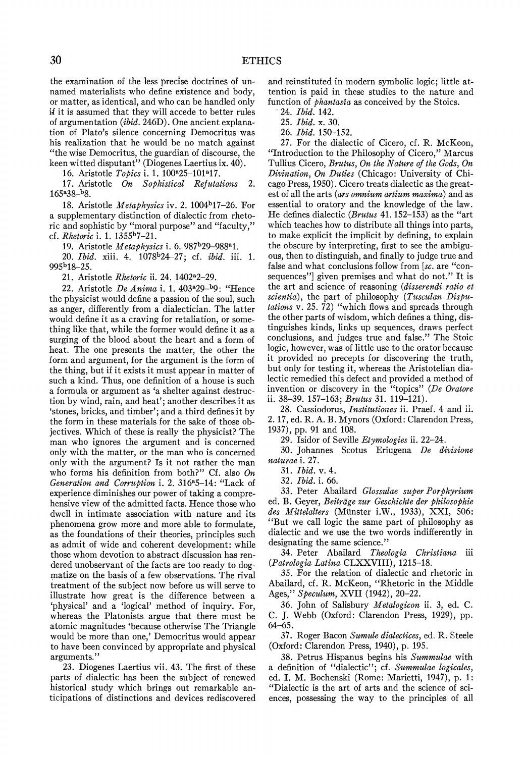**the examination of the less precise doctrines of unnamed materialists who define existence and body, or matter, as identical, and who can be handled only if it is assumed that they will accede to better rules of argumentation (ibid. 246D). One ancient explanation of Plato's silence concerning Democritus was his realization that he would be no match against "the wise Democritus, the guardian of discourse, the keen witted disputant" (Diogenes Laertius ix. 40).** 

**16. Aristotle Topics i. 1. 100a25-101a17.** 

**17. Aristotle On Sophistical Refutations 2. 165a38-b8.** 

**18. Aristotle Metaphysics iv. 2. 1004bl7-26. For a supplementary distinction of dialectic from rhetoric and sophistic by "moral purpose" and "faculty," cf. Rhetoric i. 1. 1355b7-21.** 

**19. Aristotle Metaphysics i. 6. 987b29-988al.** 

**20. Ibid. xiii. 4. 1078b24-27; cf. ibid. iii. 1. 995bl8-25 .** 

**21. Aristotle Rhetoric ii. 24. 1402a2-29.** 

**22. Aristotle De Anima 1. 1. 403a29-b9: "Hence the physicist would define a passion of the soul, such as anger, differently from a dialectician. The latter would define it as a craving for retaliation, or something like that, while the former would define it as a surging of the blood about the heart and a form of heat. The one presents the matter, the other the form and argument, for the argument is the form of the thing, but if it exists it must appear in matter of such a kind. Thus, one definition of a house is such a formula or argument as 'a shelter against destruction by wind, rain, and heat'; another describes it as 'stones, bricks, and timber'; and a third defines it by the form in these materials for the sake of those objectives. Which of these is really the physicist? The man who ignores the argument and is concerned only with the matter, or the man who is concerned only with the argument? Is it not rather the man who forms his definition from both?" Cf. also On Generation and Corruption i. 2. 316a5-14: "Lack of experience diminishes our power of taking a comprehensive view of the admitted facts. Hence those who dwell in intimate association with nature and its phenomena grow more and more able to formulate, as the foundations of their theories, principles such as admit of wide and coherent development: while those whom devotion to abstract discussion has rendered unobservant of the facts are too ready to dogmatize on the basis of a few observations. The rival treatment of the subject now before us will serve to illustrate how great is the difference between a 'physical' and a 'logical' method of inquiry. For, whereas the Platonists argue that there must be atomic magnitudes 'because otherwise The Triangle would be more than one,' Democritus would appear to have been convinced by appropriate and physical arguments."** 

**23. Diogenes Laertius vii. 43. The first of these parts of dialectic has been the subject of renewed historical study which brings out remarkable anticipations of distinctions and devices rediscovered** 

**and reinstituted in modern symbolic logic; little attention is paid in these studies to the nature and function of phantasia as conceived by the Stoics.** 

**24. Ibid. 142.** 

**25. Ibid. x. 30.** 

**26. Ibid. 150-152.** 

**27. For the dialectic of Cicero, cf. R. McKeon, "Introduction to the Philosophy of Cicero," Marcus Tullius Cicero, Brutus, On the Nature of the Gods, On Divination, On Duties (Chicago: University of Chicago Press, 1950). Cicero treats dialectic as the greatest of all the arts (ars omnium artium maxima) and as essential to oratory and the knowledge of the law. He defines dialectic (Brutus 41. 152-153) as the "art which teaches how to distribute all things into parts, to make explicit the implicit by defining, to explain the obscure by interpreting, first to see the ambiguous, then to distinguish, and finally to judge true and false and what conclusions follow from [sc. are "consequences"] given premises and what do not." It is the art and science of reasoning (disserendi ratio et scientia), the part of philosophy (Tusculan Disputations v. 25. 72) "which flows and spreads through the other parts of wisdom, which defines a thing, distinguishes kinds, links up sequences, draws perfect conclusions, and judges true and false." The Stoic logic, however, was of little use to the orator because it provided no precepts for discovering the truth, but only for testing it, whereas the Aristotelian dialectic remedied this defect and provided a method of invention or discovery in the "topics" (De Oratore ii. 38-39. 157-163; Brutus 31. 119-121).** 

**28. Cassiodorus, Institutiones ii. Praef. 4 and ii. 2. 17, ed. R. A. B. Mynors (Oxford: Clarendon Press, 1937), pp. 91 and 108.** 

**29. Isidor of Seville Etymologies ii. 22-24.** 

**30. Johannes Scotus Eriugena De divisions naturae i. 27.** 

**31. Ibid. v. 4.** 

**32. Ibid. i. 66.** 

**33. Peter Abailard Glossulae super Porphyrium ed. B. Geyer, Beitrdge zur Geschichte der philosophic des AIittelalters (MUnster i.W., 1933), XXI, 506: "But we call logic the same part of philosophy as dialectic and we use the two words indifferently in designating the same science."** 

**34. Peter Abailard Theologia Christiana iii (Patrologia Latina CLXXVIII), 1215-18.** 

**35. For the relation of dialectic and rhetoric in Abailard, cf. R. McKeon, "Rhetoric in the Middle Ages," Speculum, XVII (1942), 20-22.** 

**36. John of Salisbury Metalogicon ii. 3, ed. C. C. J. Webb (Oxford: Clarendon Press, 1929), pp. 64-65.** 

**37. Roger Bacon Surmule dialectices, ed. R. Steele (Oxford: Clarendon Press, 1940), p. 195.** 

**38. Petrus Hispanus begins his Summulae with**  a definition of "dialectic"; cf. Summulae logicales, **ed. I. M. Bochenski (Rome: Marietti, 1947), p. 1: "Dialectic is the art of arts and the science of sciences, possessing the way to the principles of all**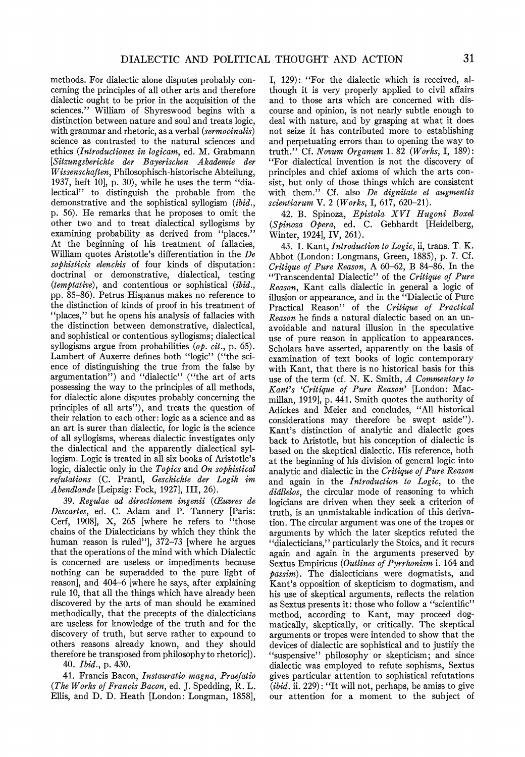**methods. For dialectic alone disputes probably concerning the principles of all other arts and therefore dialectic ought to be prior in the acquisition of the sciences." William of Shyreswood begins with a distinction between nature and soul and treats logic, with grammar and rhetoric, as a verbal (sermocinalis) science as contrasted to the natural sciences and**  ethics (Introductiones in logicam, ed. M. Grabmann **[Sitzungsberichte der Bayerischen Akademie der Wissenschaften, Philosophisch-historische Abteilung, 1937, heft 10], p. 30), while he uses the term "dialectical" to distinguish the probable from the demonstrative and the sophistical syllogism (ibid., p. 56). He remarks that he proposes to omit the other two and to treat dialectical syllogisms by examining probability as derived from "places." At the beginning of his treatment of fallacies, William quotes Aristotle's differentiation in the De sophisticis elenchis of four kinds of disputation: doctrinal or demonstrative, dialectical, testing (temptative), and contentious or sophistical (ibid., pp. 85-86). Petrus Hispanus makes no reference to the distinction of kinds of proof in his treatment of "places," but he opens his analysis of fallacies with the distinction between demonstrative, dialectical, and sophistical or contentious syllogisms; dialectical syllogisms argue from probabilities (op. cit., p. 65). Lambert of Auxerre defines both "logic" ("the science of distinguishing the true from the false by argumentation") and "dialectic" ("the art of arts possessing the way to the principles of all methods, for dialectic alone disputes probably concerning the principles of all arts"), and treats the question of their relation to each other: logic as a science and as an art is surer than dialectic, for logic is the science of all syllogisms, whereas dialectic investigates only the dialectical and the apparently dialectical syllogism. Logic is treated in all six books of Aristotle's logic, dialectic only in the Topics and On sophistical refutations (C. Prantl, Geschichte der Logik im Abendlande [Leipzig: Fock, 1927], III, 26).** 

**39. Regulae ad directionem ingenii ((Euvres de Descartes, ed. C. Adam and P. Tannery [Paris: Cerf, 1908], X, 265 [where he refers to "those chains of the Dialecticians by which they think the human reason is ruled"], 372-73 [where he argues that the operations of the mind with which Dialectic is concerned are useless or impediments because nothing can be superadded to the pure light of reason], and 404-6 [where he says, after explaining rule 10, that all the things which have already been discovered by the arts of man should be examined methodically, that the precepts of the dialecticians are useless for knowledge of the truth and for the discovery of truth, but serve rather to expound to others reasons already known, and they should therefore be transposed from philosophy to rhetoric]).** 

**40. Ibid., p. 430.** 

**41. Francis Bacon, Instauratio Magna, Praefatio (The Works of Francis Bacon, ed. J. Spedding, R. L. Ellis, and D. D. Heath [London: Longman, 1858],** 

**I, 129): "For the dialectic which is received, although it is very properly applied to civil affairs and to those arts which are concerned with discourse and opinion, is not nearly subtle enough to deal with nature, and by grasping at what it does not seize it has contributed more to establishing and perpetuating errors than to opening the way to truth." Cf. Novurm Organurm 1. 82 (Works, I, 189): "For dialectical invention is not the discovery of principles and chief axioms of which the arts consist, but only of those things which are consistent with them." Cf. also De dignitate et augmentis scientiarurm V. 2 (Works, I, 617, 620-21).** 

**42. B. Spinoza, Epistola XVI Hugoni Boxet (Spinoza Opera, ed. C. Gebhardt [Heidelberg, Winter, 1924], IV, 261).** 

**43. I. Kant, Introduction to Logic, ii, trans. T. K. Abbot (London: Longmans, Green, 1885), p. 7. Cf. Critique of Pure Reason, A 60-62, B 84-86. In the "Transcendental Dialectic" of the Critique of Pure Reason, Kant calls dialectic in general a logic of illusion or appearance, and in the "Dialectic of Pure Practical Reason" of the Critique of Practical Reason he finds a natural dialectic based on an unavoidable and natural illusion in the speculative use of pure reason in application to appearances. Scholars have asserted, apparently on the basis of examination of text books of logic contemporary with Kant, that there is no historical basis for this use of the term (cf. N. K. Smith, A Commentary to Kant's 'Critique of Pure Reason' [London: Macmillan, 1919], p. 441. Smith quotes the authority of Adickes and Meier and concludes, "All historical considerations may therefore be swept aside"). Kant's distinction of analytic and dialectic goes back to Aristotle, but his conception of dialectic is based on the skeptical dialectic. His reference, both at the beginning of his division of general logic into analytic and dialectic in the Critique of Pure Reason and again in the Introduction to Logic, to the didlielos, the circular mode of reasoning to which logicians are driven when they seek a criterion of truth, is an unmistakable indication of this derivation. The circular argument was one of the tropes or arguments by which the later skeptics refuted the "dialecticians," particularly the Stoics, and it recurs again and again in the arguments preserved by Sextus Empiricus (Outlines of Pyrrhonism i. 164 and passim). The dialecticians were dogmatists, and Kant's opposition of skepticism to dogmatism, and his use of skeptical arguments, reflects the relation as Sextus presents it: those who follow a "scientific" method, according to Kant, may proceed dogmatically, skeptically, or critically. The skeptical arguments or tropes were intended to show that the devices of dialectic are sophistical and to justify the "suspensive" philosophy or skepticism; and since dialectic was employed to refute sophisms, Sextus gives particular attention to sophistical refutations (ibid. ii. 229): "It will not, perhaps, be amiss to give our attention for a moment to the subject of**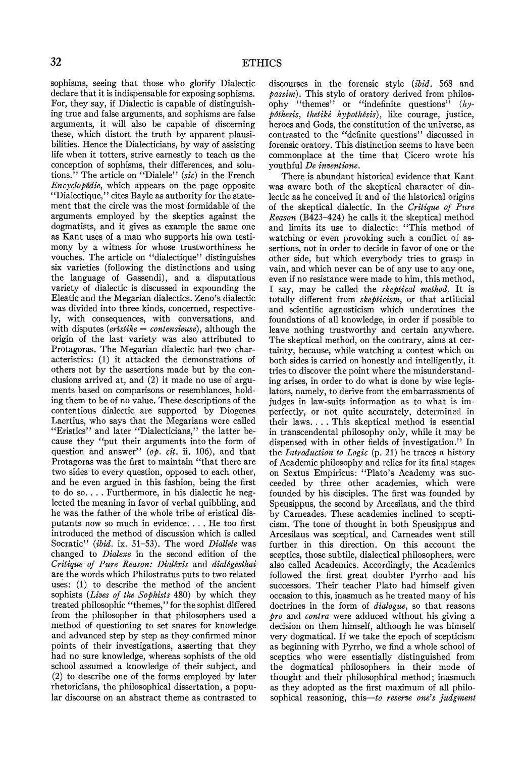**sophisms, seeing that those who glorify Dialectic declare that it is indispensable for exposing sophisms. For, they say, if Dialectic is capable of distinguishing true and false arguments, and sophisms are false arguments, it will also be capable of discerning these, which distort the truth by apparent plausibilities. Hence the Dialecticians, by way of assisting life when it totters, strive earnestly to teach us the conception of sophisms, their differences, and solutions." The article on "Dialele" (sic) in the French Encyclopedie, which appears on the page opposite "Dialectique," cites Bayle as authority for the statement that the circle was the most formidable of the arguments employed by the skeptics against the dogmatists, and it gives as example the same one as Kant uses of a man who supports his own testimony by a witness for whose trustworthiness he vouches. The article on "dialectique" distinguishes six varieties (following the distinctions and using the language of Gassendi), and a disputatious variety of dialectic is discussed in expounding the Eleatic and the Megarian dialectics. Zeno's dialectic was divided into three kinds, concerned, respectively, with consequences, with conversations, and with disputes (eristike = contensieuse), although the origin of the last variety was also attributed to Protagoras. The Megarian dialectic had two characteristics: (1) it attacked the demonstrations of others not by the assertions made but by the conclusions arrived at, and (2) it made no use of arguments based on comparisons or resemblances, holding them to be of no value. These descriptions of the contentious dialectic are supported by Diogenes Laertius, who says that the Megarians were called "Eristics" and later "Dialecticians," the latter because they "put their arguments into the form of question and answer" (op. cit. ii. 106), and that Protagoras was the first to maintain "that there are two sides to every question, opposed to each other, and he even argued in this fashion, being the first to do so. . . . Furthermore, in his dialectic he neglected the meaning in favor of verbal quibbling, and he was the father of the whole tribe of eristical disputants now so much in evidence.... He too first introduced the method of discussion which is called Socratic" (ibid. ix. 51-53). The word Diallele was changed to Dialexe in the second edition of the**  Critique of Pure Reason: Dialéxis and dialégesthai **are the words which Philostratus puts to two related uses: (1) to describe the method of the ancient sophists (Lives of the Sophists 480) by which they treated philosophic "themes," for the sophist differed from the philosopher in that philosophers used a method of questioning to set snares for knowledge and advanced step by step as they confirmed minor points of their investigations, asserting that they had no sure knowledge, whereas sophists of the old school assumed a knowledge of their subject, and (2) to describe one of the forms employed by later rhetoricians, the philosophical dissertation, a popular discourse on an abstract theme as contrasted to** 

**discourses in the forensic style (ibid. 568 and passim). This style of oratory derived from philos**ophy "themes" or "indefinite questions" (hy**p6thesis, thetike hypothesis), like courage, justice, heroes and Gods, the constitution of the universe, as contrasted to the "definite questions" discussed in forensic oratory. This distinction seems to have been commonplace at the time that Cicero wrote his youthful De inventions.** 

**There is abundant historical evidence that Kant was aware both of the skeptical character of dialectic as he conceived it and of the historical origins of the skeptical dialectic. In the Critique of Pure Reason (B423-424) he calls it the skeptical method and limits its use to dialectic: "This method of watching or even provoking such a conflict of assertions, not in order to decide in favor of one or the other side, but which everybody tries to grasp in vain, and which never can be of any use to any one, even if no resistance were made to him, this method, I say, may be called the skeptical method. It is totally different from skepticism, or that artificial and scientific agnosticism which undermines the foundations of all knowledge, in order if possible to leave nothing trustworthy and certain anywhere. The skeptical method, on the contrary, aims at certainty, because, while watching a contest which on both sides is carried on honestly and intelligently, it tries to discover the point where the misunderstanding arises, in order to do what is done by wise legislators, namely, to derive from the embarrassments of judges in law-suits information as to what is imperfectly, or not quite accurately, determined in their laws.... This skeptical method is essential in transcendental philosophy only, while it may be dispensed with in other fields of investigation." In the Introduction to Logic (p. 21) he traces a history of Academic philosophy and relies for its final stages on Sextus Empiricus: "Plato's Academy was succeeded by three other academies, which were founded by his disciples. The first was founded by**  Speusippus, the second by Arcesilaus, and the third **by Carneades. These academies inclined to scepticism. The tone of thought in both Speusippus and Arcesilaus was sceptical, and Carneades went still further in this direction. On this account the sceptics, those subtile, dialectical philosophers, were also called Academics. Accordingly, the Academics followed the first great doubter Pyrrho and his successors. Their teacher Plato had himself given occasion to this, inasmuch as he treated many of his doctrines in the form of dialogue, so that reasons pro and contra were adduced without his giving a decision on them himself, although he was himself very dogmatical. If we take the epoch of scepticism as beginning with Pyrrho, we find a whole school of sceptics who were essentially distinguished from the dogmatical philosophers in their mode of thought and their philosophical method; inasmuch as they adopted as the first maximum of all philo**sophical reasoning, this-to reserve one's judgment